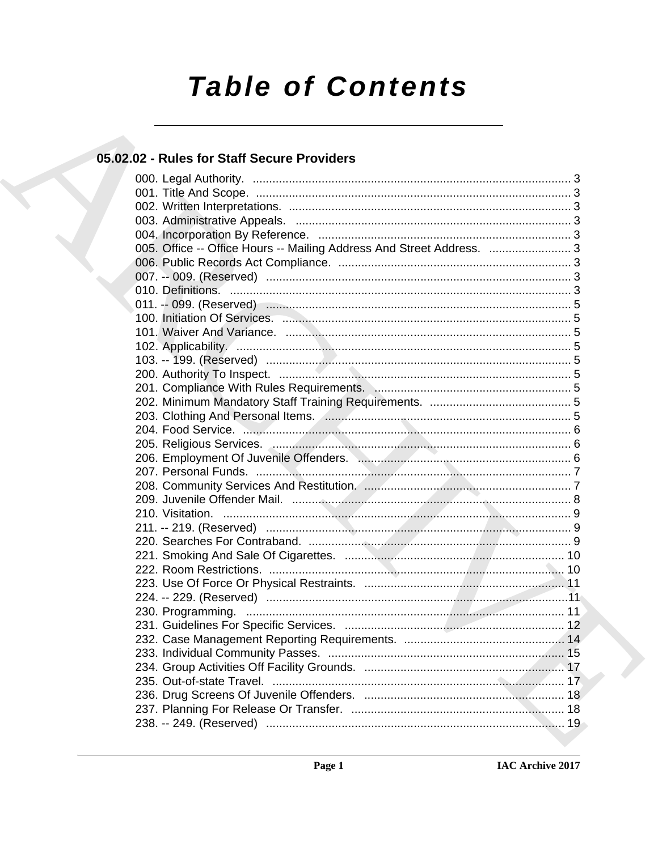# **Table of Contents**

# 05.02.02 - Rules for Staff Secure Providers

| 005. Office -- Office Hours -- Mailing Address And Street Address.  3 |  |
|-----------------------------------------------------------------------|--|
|                                                                       |  |
|                                                                       |  |
|                                                                       |  |
|                                                                       |  |
|                                                                       |  |
|                                                                       |  |
|                                                                       |  |
|                                                                       |  |
|                                                                       |  |
| 201. Compliance With Rules Requirements. Manual Communication and 5   |  |
|                                                                       |  |
|                                                                       |  |
|                                                                       |  |
|                                                                       |  |
|                                                                       |  |
|                                                                       |  |
|                                                                       |  |
|                                                                       |  |
|                                                                       |  |
|                                                                       |  |
|                                                                       |  |
|                                                                       |  |
|                                                                       |  |
|                                                                       |  |
|                                                                       |  |
|                                                                       |  |
|                                                                       |  |
|                                                                       |  |
|                                                                       |  |
|                                                                       |  |
|                                                                       |  |
|                                                                       |  |
|                                                                       |  |
|                                                                       |  |
|                                                                       |  |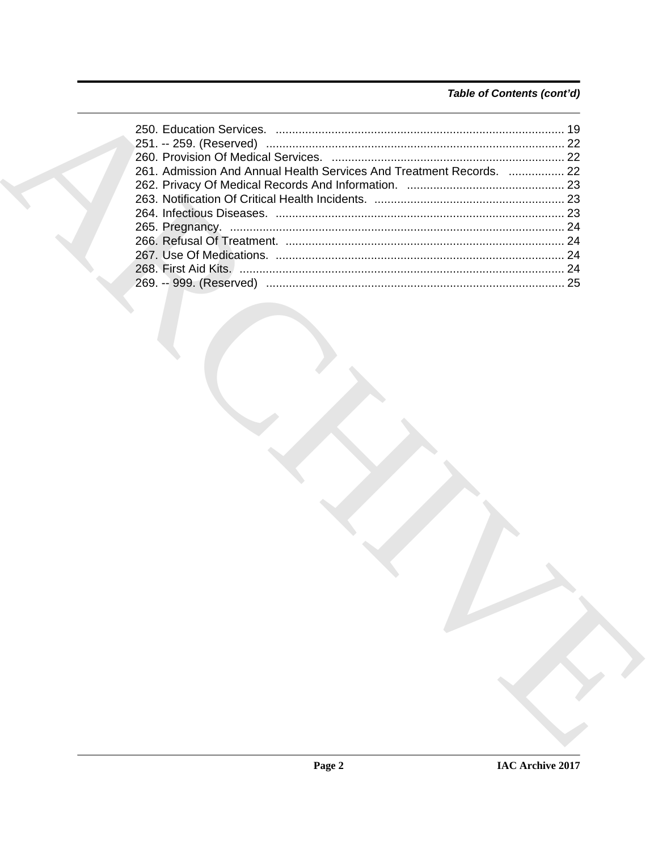# Table of Contents (cont'd)

| 2261. Admission And Annual Health Services And Treatment Records.  22 |    |
|-----------------------------------------------------------------------|----|
|                                                                       |    |
|                                                                       |    |
|                                                                       |    |
|                                                                       |    |
|                                                                       |    |
|                                                                       |    |
|                                                                       | 24 |
|                                                                       |    |
|                                                                       |    |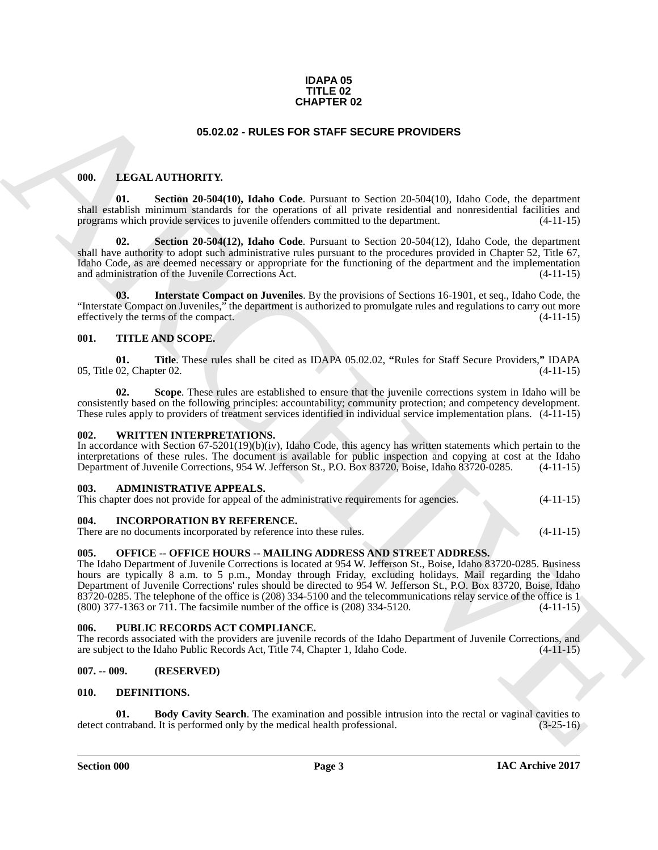### **IDAPA 05 TITLE 02 CHAPTER 02**

### <span id="page-2-16"></span>**05.02.02 - RULES FOR STAFF SECURE PROVIDERS**

### <span id="page-2-14"></span><span id="page-2-1"></span><span id="page-2-0"></span>**000. LEGAL AUTHORITY.**

**01. Section 20-504(10), Idaho Code**. Pursuant to Section 20-504(10), Idaho Code, the department shall establish minimum standards for the operations of all private residential and nonresidential facilities and programs which provide services to juvenile offenders committed to the department. (4-11-15)

<span id="page-2-17"></span>**02. Section 20-504(12), Idaho Code**. Pursuant to Section 20-504(12), Idaho Code, the department shall have authority to adopt such administrative rules pursuant to the procedures provided in Chapter 52, Title 67, Idaho Code, as are deemed necessary or appropriate for the functioning of the department and the implementation and administration of the Juvenile Corrections Act. (4-11-15)

<span id="page-2-15"></span>**03. Interstate Compact on Juveniles**. By the provisions of Sections 16-1901, et seq., Idaho Code, the "Interstate Compact on Juveniles," the department is authorized to promulgate rules and regulations to carry out more effectively the terms of the compact. effectively the terms of the compact.

### <span id="page-2-20"></span><span id="page-2-2"></span>**001. TITLE AND SCOPE.**

<span id="page-2-22"></span>**01. Title**. These rules shall be cited as IDAPA 05.02.02, **"**Rules for Staff Secure Providers,**"** IDAPA 05, Title 02, Chapter 02.

<span id="page-2-21"></span>**02. Scope**. These rules are established to ensure that the juvenile corrections system in Idaho will be consistently based on the following principles: accountability; community protection; and competency development. These rules apply to providers of treatment services identified in individual service implementation plans. (4-11-15)

### <span id="page-2-23"></span><span id="page-2-3"></span>**002. WRITTEN INTERPRETATIONS.**

In accordance with Section 67-5201(19)(b)(iv), Idaho Code, this agency has written statements which pertain to the interpretations of these rules. The document is available for public inspection and copying at cost at the Idaho Department of Juvenile Corrections, 954 W. Jefferson St., P.O. Box 83720, Boise, Idaho 83720-0285. (4-11-15)

### <span id="page-2-10"></span><span id="page-2-4"></span>**003. ADMINISTRATIVE APPEALS.**

|  | This chapter does not provide for appeal of the administrative requirements for agencies. |  | $(4-11-15)$ |
|--|-------------------------------------------------------------------------------------------|--|-------------|
|  |                                                                                           |  |             |

### <span id="page-2-13"></span><span id="page-2-5"></span>**004. INCORPORATION BY REFERENCE.**

There are no documents incorporated by reference into these rules. (4-11-15)

### <span id="page-2-18"></span><span id="page-2-6"></span>**005. OFFICE -- OFFICE HOURS -- MAILING ADDRESS AND STREET ADDRESS.**

**64.62.2.2. CHAPTER C2**<br> **64.62.2.2. PRICES FOR STAFF SCURE PROVIDERS**<br> **64. E.** Section 26.984010, Table Code Reporter to Section 20.33410, Table Code Be described and propose re-but a section 20. Table 20. Table 20. The Idaho Department of Juvenile Corrections is located at 954 W. Jefferson St., Boise, Idaho 83720-0285. Business hours are typically 8 a.m. to 5 p.m., Monday through Friday, excluding holidays. Mail regarding the Idaho Department of Juvenile Corrections' rules should be directed to 954 W. Jefferson St., P.O. Box 83720, Boise, Idaho  $83720-0285$ . The telephone of the office is (208) 334-5100 and the telecommunications relay service of the office is 1 (800) 377-1363 or 711. The facsimile number of the office is (208) 334-5120. (4-11-15)  $(800)$  377-1363 or 711. The facsimile number of the office is  $(208)$  334-5120.

### <span id="page-2-19"></span><span id="page-2-7"></span>**006. PUBLIC RECORDS ACT COMPLIANCE.**

The records associated with the providers are juvenile records of the Idaho Department of Juvenile Corrections, and are subject to the Idaho Public Records Act, Title 74, Chapter 1, Idaho Code. (4-11-15) are subject to the Idaho Public Records Act, Title 74, Chapter 1, Idaho Code.

### <span id="page-2-8"></span>**007. -- 009. (RESERVED)**

### <span id="page-2-11"></span><span id="page-2-9"></span>**010. DEFINITIONS.**

<span id="page-2-12"></span>**01. Body Cavity Search**. The examination and possible intrusion into the rectal or vaginal cavities to intraband. It is performed only by the medical health professional. (3-25-16) detect contraband. It is performed only by the medical health professional.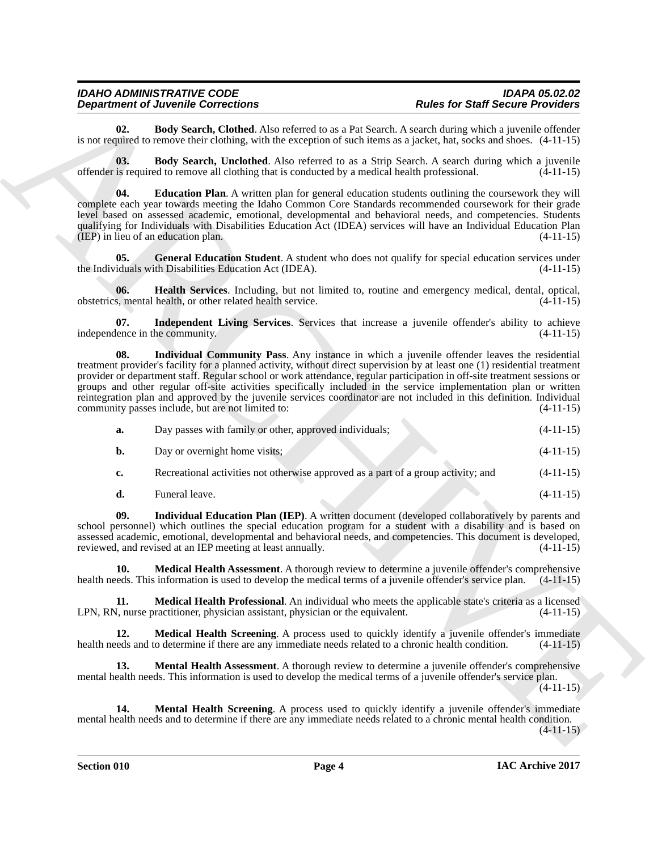<span id="page-3-0"></span>**02. Body Search, Clothed**. Also referred to as a Pat Search. A search during which a juvenile offender is not required to remove their clothing, with the exception of such items as a jacket, hat, socks and shoes. (4-11-15)

<span id="page-3-1"></span>**03. Body Search, Unclothed**. Also referred to as a Strip Search. A search during which a juvenile offender is required to remove all clothing that is conducted by a medical health professional.  $(4-11-15)$ 

<span id="page-3-2"></span>**04. Education Plan**. A written plan for general education students outlining the coursework they will complete each year towards meeting the Idaho Common Core Standards recommended coursework for their grade level based on assessed academic, emotional, developmental and behavioral needs, and competencies. Students qualifying for Individuals with Disabilities Education Act (IDEA) services will have an Individual Education Plan  $(1E)$  in lieu of an education plan.  $(4-11-15)$ 

<span id="page-3-3"></span>**05. General Education Student**. A student who does not qualify for special education services under iduals with Disabilities Education Act (IDEA). the Individuals with Disabilities Education Act (IDEA).

<span id="page-3-4"></span>**06. Health Services**. Including, but not limited to, routine and emergency medical, dental, optical, obstetrics, mental health, or other related health service.

<span id="page-3-6"></span><span id="page-3-5"></span>**07.** Independent Living Services. Services that increase a juvenile offender's ability to achieve lence in the community. (4-11-15) independence in the community.

**Department of Alexander Schemeland** being started as a *Platical schemeland and Schemeland Constantinoperation* and the started as Schemeland and Schemeland and Schemeland and Schemeland and Schemeland and Schemeland and **08. Individual Community Pass**. Any instance in which a juvenile offender leaves the residential treatment provider's facility for a planned activity, without direct supervision by at least one (1) residential treatment provider or department staff. Regular school or work attendance, regular participation in off-site treatment sessions or groups and other regular off-site activities specifically included in the service implementation plan or written reintegration plan and approved by the juvenile services coordinator are not included in this definition. Individual community passes include, but are not limited to:  $(4-11-15)$ community passes include, but are not limited to:

| а. | Day passes with family or other, approved individuals;                            | $(4-11-15)$ |
|----|-----------------------------------------------------------------------------------|-------------|
| b. | Day or overnight home visits;                                                     | $(4-11-15)$ |
| c. | Recreational activities not otherwise approved as a part of a group activity; and | $(4-11-15)$ |

<span id="page-3-7"></span>**d.** Funeral leave. (4-11-15)

**09. Individual Education Plan (IEP)**. A written document (developed collaboratively by parents and school personnel) which outlines the special education program for a student with a disability and is based on assessed academic, emotional, developmental and behavioral needs, and competencies. This document is developed, reviewed, and revised at an IEP meeting at least annually.  $(4-11-15)$ reviewed, and revised at an IEP meeting at least annually.

<span id="page-3-8"></span>**10. Medical Health Assessment**. A thorough review to determine a juvenile offender's comprehensive health needs. This information is used to develop the medical terms of a juvenile offender's service plan. (4-11-15)

<span id="page-3-9"></span>**11. Medical Health Professional**. An individual who meets the applicable state's criteria as a licensed N, nurse practitioner, physician assistant, physician or the equivalent. (4-11-15) LPN, RN, nurse practitioner, physician assistant, physician or the equivalent.

<span id="page-3-10"></span>**12. Medical Health Screening**. A process used to quickly identify a juvenile offender's immediate health needs and to determine if there are any immediate needs related to a chronic health condition. (4-11-15)

<span id="page-3-11"></span>**13. Mental Health Assessment**. A thorough review to determine a juvenile offender's comprehensive mental health needs. This information is used to develop the medical terms of a juvenile offender's service plan.  $(4-11-15)$ 

<span id="page-3-12"></span>**14. Mental Health Screening**. A process used to quickly identify a juvenile offender's immediate mental health needs and to determine if there are any immediate needs related to a chronic mental health condition.

 $(4-11-15)$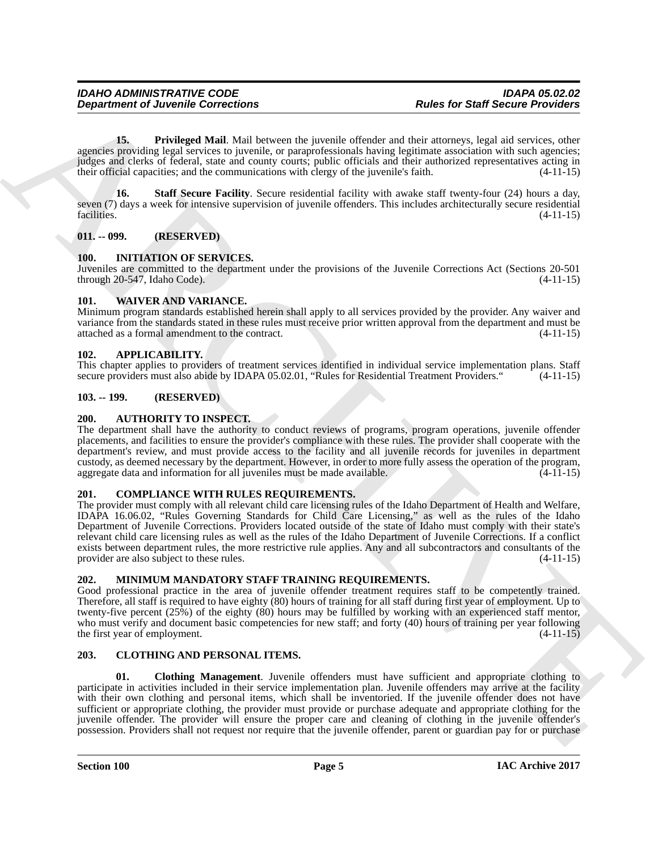<span id="page-4-14"></span>**15. Privileged Mail**. Mail between the juvenile offender and their attorneys, legal aid services, other agencies providing legal services to juvenile, or paraprofessionals having legitimate association with such agencies; judges and clerks of federal, state and county courts; public officials and their authorized representatives acting in their official capacities; and the communications with clergy of the juvenile's faith. (4-11-15)

<span id="page-4-15"></span>**16. Staff Secure Facility**. Secure residential facility with awake staff twenty-four (24) hours a day, seven (7) days a week for intensive supervision of juvenile offenders. This includes architecturally secure residential facilities. (4-11-15) facilities. (4-11-15)

### <span id="page-4-0"></span>**011. -- 099. (RESERVED)**

### <span id="page-4-16"></span><span id="page-4-1"></span>**100. INITIATION OF SERVICES.**

Juveniles are committed to the department under the provisions of the Juvenile Corrections Act (Sections 20-501 through 20-547, Idaho Code). (4-11-15)

### <span id="page-4-18"></span><span id="page-4-2"></span>**101. WAIVER AND VARIANCE.**

Minimum program standards established herein shall apply to all services provided by the provider. Any waiver and variance from the standards stated in these rules must receive prior written approval from the department and must be attached as a formal amendment to the contract. (4-11-15)

### <span id="page-4-9"></span><span id="page-4-3"></span>**102. APPLICABILITY.**

This chapter applies to providers of treatment services identified in individual service implementation plans. Staff secure providers must also abide by IDAPA 05.02.01, "Rules for Residential Treatment Providers." (4-11-15)

### <span id="page-4-4"></span>**103. -- 199. (RESERVED)**

### <span id="page-4-10"></span><span id="page-4-5"></span>**200. AUTHORITY TO INSPECT.**

The department shall have the authority to conduct reviews of programs, program operations, juvenile offender placements, and facilities to ensure the provider's compliance with these rules. The provider shall cooperate with the department's review, and must provide access to the facility and all juvenile records for juveniles in department custody, as deemed necessary by the department. However, in order to more fully assess the operation of the program, aggregate data and information for all juveniles must be made available. (4-11-15) aggregate data and information for all juveniles must be made available.

### <span id="page-4-13"></span><span id="page-4-6"></span>**201. COMPLIANCE WITH RULES REQUIREMENTS.**

**Department of Juvenile Connections**<br>
16. The Total ped Social Addi Nual beams the location distinct and their interests and a testing the state of the state of the state of the state of the state of the state of the stat The provider must comply with all relevant child care licensing rules of the Idaho Department of Health and Welfare, IDAPA 16.06.02, "Rules Governing Standards for Child Care Licensing," as well as the rules of the Idaho Department of Juvenile Corrections. Providers located outside of the state of Idaho must comply with their state's relevant child care licensing rules as well as the rules of the Idaho Department of Juvenile Corrections. If a conflict exists between department rules, the more restrictive rule applies. Any and all subcontractors and consultants of the provider are also subject to these rules. (4-11-15)

### <span id="page-4-17"></span><span id="page-4-7"></span>**202. MINIMUM MANDATORY STAFF TRAINING REQUIREMENTS.**

Good professional practice in the area of juvenile offender treatment requires staff to be competently trained. Therefore, all staff is required to have eighty (80) hours of training for all staff during first year of employment. Up to twenty-five percent (25%) of the eighty (80) hours may be fulfilled by working with an experienced staff mentor, who must verify and document basic competencies for new staff; and forty (40) hours of training per year following the first year of employment. (4-11-15)

### <span id="page-4-11"></span><span id="page-4-8"></span>**203. CLOTHING AND PERSONAL ITEMS.**

<span id="page-4-12"></span>**01. Clothing Management**. Juvenile offenders must have sufficient and appropriate clothing to participate in activities included in their service implementation plan. Juvenile offenders may arrive at the facility with their own clothing and personal items, which shall be inventoried. If the juvenile offender does not have sufficient or appropriate clothing, the provider must provide or purchase adequate and appropriate clothing for the juvenile offender. The provider will ensure the proper care and cleaning of clothing in the juvenile offender's possession. Providers shall not request nor require that the juvenile offender, parent or guardian pay for or purchase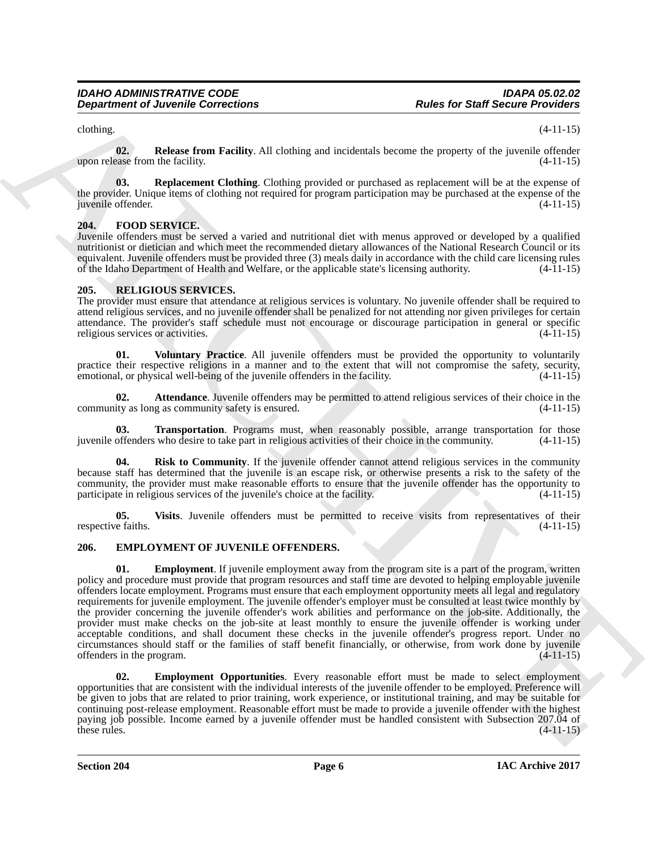<span id="page-5-3"></span>

 $\epsilon$  (4-11-15) (4-11-15)

**02. Release from Facility**. All clothing and incidentals become the property of the juvenile offender upon release from the facility. (4-11-15)

<span id="page-5-4"></span>**03. Replacement Clothing**. Clothing provided or purchased as replacement will be at the expense of the provider. Unique items of clothing not required for program participation may be purchased at the expense of the juvenile offender. (4-11-15)

### <span id="page-5-8"></span><span id="page-5-0"></span>**204. FOOD SERVICE.**

Juvenile offenders must be served a varied and nutritional diet with menus approved or developed by a qualified nutritionist or dietician and which meet the recommended dietary allowances of the National Research Council or its equivalent. Juvenile offenders must be provided three (3) meals daily in accordance with the child care licensing rules of the Idaho Department of Health and Welfare, or the applicable state's licensing authority. (4-11-15)

### <span id="page-5-9"></span><span id="page-5-1"></span>**205. RELIGIOUS SERVICES.**

The provider must ensure that attendance at religious services is voluntary. No juvenile offender shall be required to attend religious services, and no juvenile offender shall be penalized for not attending nor given privileges for certain attendance. The provider's staff schedule must not encourage or discourage participation in general or specific religious services or activities.

<span id="page-5-14"></span>**01. Voluntary Practice**. All juvenile offenders must be provided the opportunity to voluntarily practice their respective religions in a manner and to the extent that will not compromise the safety, security, emotional, or physical well-being of the juvenile offenders in the facility. (4-11-15)

<span id="page-5-10"></span>**02. Attendance**. Juvenile offenders may be permitted to attend religious services of their choice in the ity as long as community safety is ensured. (4-11-15) community as long as community safety is ensured.

<span id="page-5-12"></span>**Transportation**. Programs must, when reasonably possible, arrange transportation for those who desire to take part in religious activities of their choice in the community. (4-11-15) juvenile offenders who desire to take part in religious activities of their choice in the community.

<span id="page-5-11"></span>**04. Risk to Community**. If the juvenile offender cannot attend religious services in the community because staff has determined that the juvenile is an escape risk, or otherwise presents a risk to the safety of the community, the provider must make reasonable efforts to ensure that the juvenile offender has the opportunity to participate in religious services of the juvenile's choice at the facility. (4-11-15) participate in religious services of the juvenile's choice at the facility.

<span id="page-5-13"></span>**05.** Visits. Juvenile offenders must be permitted to receive visits from representatives of their e faiths. (4-11-15) respective faiths.

### <span id="page-5-6"></span><span id="page-5-5"></span><span id="page-5-2"></span>**206. EMPLOYMENT OF JUVENILE OFFENDERS.**

**Equivariant Collections**<br> **Equivariant Collections**<br> **Equivariant Collections**<br> **Equivariant Collections**<br> **Equivariant Collections**<br> **Example 10. Example 10. Example 10. Example 10. Example 10. Example 10. E 01.** Employment. If juvenile employment away from the program site is a part of the program, written policy and procedure must provide that program resources and staff time are devoted to helping employable juvenile offenders locate employment. Programs must ensure that each employment opportunity meets all legal and regulatory requirements for juvenile employment. The juvenile offender's employer must be consulted at least twice monthly by the provider concerning the juvenile offender's work abilities and performance on the job-site. Additionally, the provider must make checks on the job-site at least monthly to ensure the juvenile offender is working under acceptable conditions, and shall document these checks in the juvenile offender's progress report. Under no circumstances should staff or the families of staff benefit financially, or otherwise, from work done by juvenile offenders in the program.

<span id="page-5-7"></span>**02. Employment Opportunities**. Every reasonable effort must be made to select employment opportunities that are consistent with the individual interests of the juvenile offender to be employed. Preference will be given to jobs that are related to prior training, work experience, or institutional training, and may be suitable for continuing post-release employment. Reasonable effort must be made to provide a juvenile offender with the highest paying job possible. Income earned by a juvenile offender must be handled consistent with Subsection 207.04 of these rules. (4-11-15) these rules.  $(4-11-15)$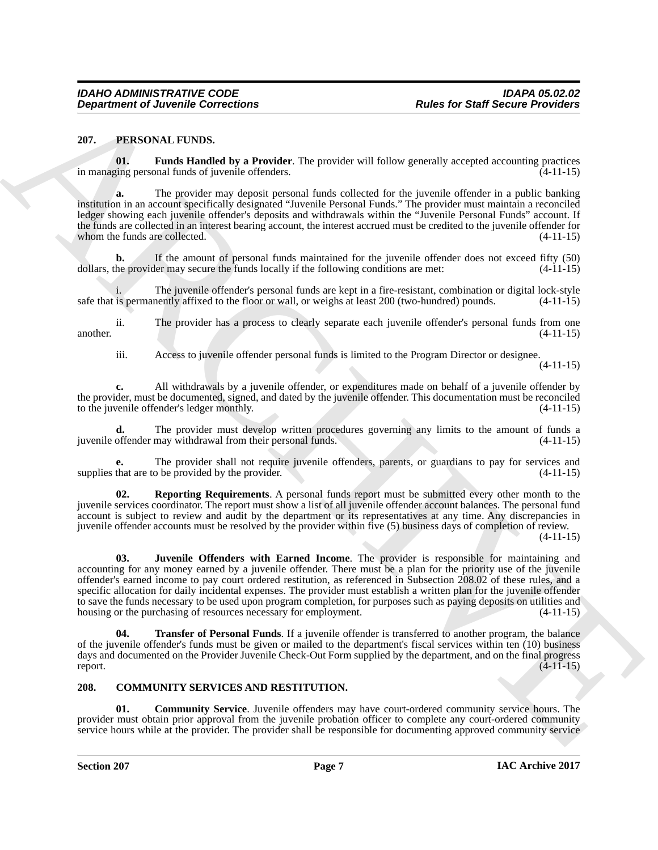### <span id="page-6-4"></span><span id="page-6-0"></span>**207. PERSONAL FUNDS.**

<span id="page-6-5"></span>**01. Funds Handled by a Provider**. The provider will follow generally accepted accounting practices in managing personal funds of juvenile offenders. (4-11-15)

**a.** The provider may deposit personal funds collected for the juvenile offender in a public banking institution in an account specifically designated "Juvenile Personal Funds." The provider must maintain a reconciled ledger showing each juvenile offender's deposits and withdrawals within the "Juvenile Personal Funds" account. If the funds are collected in an interest bearing account, the interest accrued must be credited to the juvenile offender for whom the funds are collected. (4-11-15)

**b.** If the amount of personal funds maintained for the juvenile offender does not exceed fifty (50) he provider may secure the funds locally if the following conditions are met:  $(4-11-15)$ dollars, the provider may secure the funds locally if the following conditions are met:

The juvenile offender's personal funds are kept in a fire-resistant, combination or digital lock-style nently affixed to the floor or wall, or weighs at least 200 (two-hundred) pounds. (4-11-15) safe that is permanently affixed to the floor or wall, or weighs at least 200 (two-hundred) pounds.

ii. The provider has a process to clearly separate each juvenile offender's personal funds from one another.  $(4-11-15)$ 

iii. Access to juvenile offender personal funds is limited to the Program Director or designee.

(4-11-15)

**c.** All withdrawals by a juvenile offender, or expenditures made on behalf of a juvenile offender by the provider, must be documented, signed, and dated by the juvenile offender. This documentation must be reconciled<br>to the juvenile offender's ledger monthly. (4-11-15) to the juvenile offender's ledger monthly.

The provider must develop written procedures governing any limits to the amount of funds a may withdrawal from their personal funds. (4-11-15) juvenile offender may withdrawal from their personal funds.

**e.** The provider shall not require juvenile offenders, parents, or guardians to pay for services and that are to be provided by the provider. (4-11-15) supplies that are to be provided by the provider.

<span id="page-6-7"></span><span id="page-6-6"></span>**02. Reporting Requirements**. A personal funds report must be submitted every other month to the juvenile services coordinator. The report must show a list of all juvenile offender account balances. The personal fund account is subject to review and audit by the department or its representatives at any time. Any discrepancies in juvenile offender accounts must be resolved by the provider within five (5) business days of completion of review.

(4-11-15)

**Department of Juvenile Connections**<br>
2017. **PLANON LATING To provider.** The provider allow greened accounts provider and the set of the set of the set of the set of the set of the set of the set of the set of the set of **03. Juvenile Offenders with Earned Income**. The provider is responsible for maintaining and accounting for any money earned by a juvenile offender. There must be a plan for the priority use of the juvenile offender's earned income to pay court ordered restitution, as referenced in Subsection 208.02 of these rules, and a specific allocation for daily incidental expenses. The provider must establish a written plan for the juvenile offender to save the funds necessary to be used upon program completion, for purposes such as paying deposits on utilities and housing or the purchasing of resources necessary for employment.  $(4-11-15)$ housing or the purchasing of resources necessary for employment.

<span id="page-6-8"></span>**Transfer of Personal Funds**. If a juvenile offender is transferred to another program, the balance of the juvenile offender's funds must be given or mailed to the department's fiscal services within ten (10) business days and documented on the Provider Juvenile Check-Out Form supplied by the department, and on the final progress report.  $(4-11-15)$ 

### <span id="page-6-2"></span><span id="page-6-1"></span>**208. COMMUNITY SERVICES AND RESTITUTION.**

<span id="page-6-3"></span>**01. Community Service**. Juvenile offenders may have court-ordered community service hours. The provider must obtain prior approval from the juvenile probation officer to complete any court-ordered community service hours while at the provider. The provider shall be responsible for documenting approved community service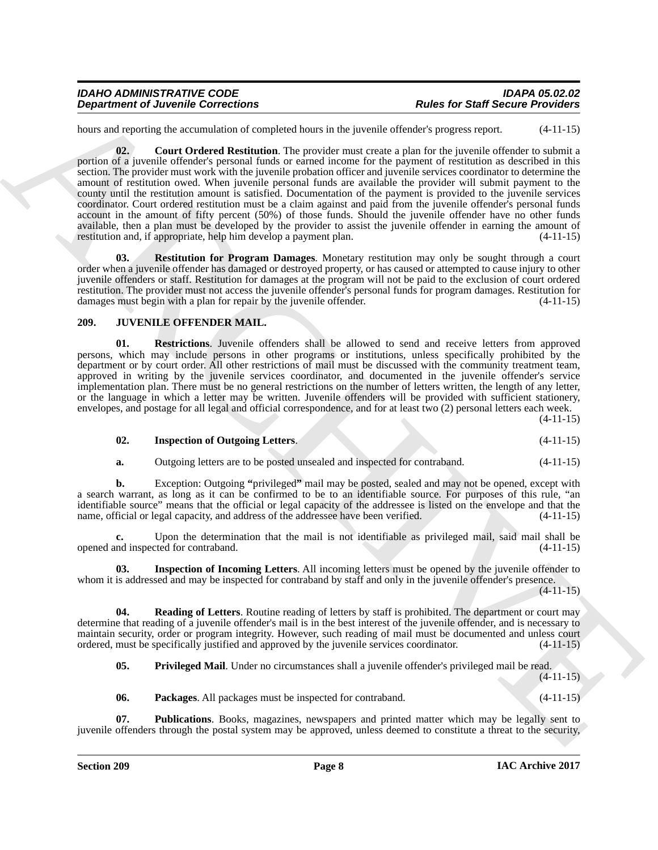<span id="page-7-1"></span>hours and reporting the accumulation of completed hours in the juvenile offender's progress report.  $(4-11-15)$ 

**Department of Juvenile Connections**<br>
Reals for Start Section Provider 2018 Section Properties (and the start of the start of the start of the start of the start of the start of the start of the start of the start of the **02. Court Ordered Restitution**. The provider must create a plan for the juvenile offender to submit a portion of a juvenile offender's personal funds or earned income for the payment of restitution as described in this section. The provider must work with the juvenile probation officer and juvenile services coordinator to determine the amount of restitution owed. When juvenile personal funds are available the provider will submit payment to the county until the restitution amount is satisfied. Documentation of the payment is provided to the juvenile services coordinator. Court ordered restitution must be a claim against and paid from the juvenile offender's personal funds account in the amount of fifty percent (50%) of those funds. Should the juvenile offender have no other funds available, then a plan must be developed by the provider to assist the juvenile offender in earning the amount of restitution and, if appropriate, help him develop a payment plan. (4-11-15)

<span id="page-7-2"></span>**03. Restitution for Program Damages**. Monetary restitution may only be sought through a court order when a juvenile offender has damaged or destroyed property, or has caused or attempted to cause injury to other juvenile offenders or staff. Restitution for damages at the program will not be paid to the exclusion of court ordered restitution. The provider must not access the juvenile offender's personal funds for program damages. Restitution for damages must begin with a plan for repair by the juvenile offender. (4-11-15) damages must begin with a plan for repair by the juvenile offender.

### <span id="page-7-3"></span><span id="page-7-0"></span>**209. JUVENILE OFFENDER MAIL.**

<span id="page-7-10"></span>**01. Restrictions**. Juvenile offenders shall be allowed to send and receive letters from approved persons, which may include persons in other programs or institutions, unless specifically prohibited by the department or by court order. All other restrictions of mail must be discussed with the community treatment team, approved in writing by the juvenile services coordinator, and documented in the juvenile offender's service implementation plan. There must be no general restrictions on the number of letters written, the length of any letter, or the language in which a letter may be written. Juvenile offenders will be provided with sufficient stationery, envelopes, and postage for all legal and official correspondence, and for at least two (2) personal letters each week.

(4-11-15)

<span id="page-7-5"></span>

| 02. | <b>Inspection of Outgoing Letters.</b> |  | $(4-11-15)$ |
|-----|----------------------------------------|--|-------------|
|-----|----------------------------------------|--|-------------|

**a.** Outgoing letters are to be posted unsealed and inspected for contraband.  $(4-11-15)$ 

**b.** Exception: Outgoing **"**privileged**"** mail may be posted, sealed and may not be opened, except with a search warrant, as long as it can be confirmed to be to an identifiable source. For purposes of this rule, "an identifiable source" means that the official or legal capacity of the addressee is listed on the envelope and that the name, official or legal capacity, and address of the addressee have been verified. (4-11-15)

Upon the determination that the mail is not identifiable as privileged mail, said mail shall be ted for contraband. (4-11-15) opened and inspected for contraband.

<span id="page-7-4"></span>**03. Inspection of Incoming Letters**. All incoming letters must be opened by the juvenile offender to whom it is addressed and may be inspected for contraband by staff and only in the juvenile offender's presence.

 $(4-11-15)$ 

**04. Reading of Letters**. Routine reading of letters by staff is prohibited. The department or court may determine that reading of a juvenile offender's mail is in the best interest of the juvenile offender, and is necessary to maintain security, order or program integrity. However, such reading of mail must be documented and unless court ordered, must be specifically justified and approved by the juvenile services coordinator. (4-11-15) ordered, must be specifically justified and approved by the juvenile services coordinator. (4-11-15)

<span id="page-7-9"></span><span id="page-7-7"></span>**05. Privileged Mail**. Under no circumstances shall a juvenile offender's privileged mail be read.

 $(4-11-15)$ 

<span id="page-7-8"></span><span id="page-7-6"></span>**06. Packages**. All packages must be inspected for contraband. (4-11-15)

**07. Publications**. Books, magazines, newspapers and printed matter which may be legally sent to juvenile offenders through the postal system may be approved, unless deemed to constitute a threat to the security,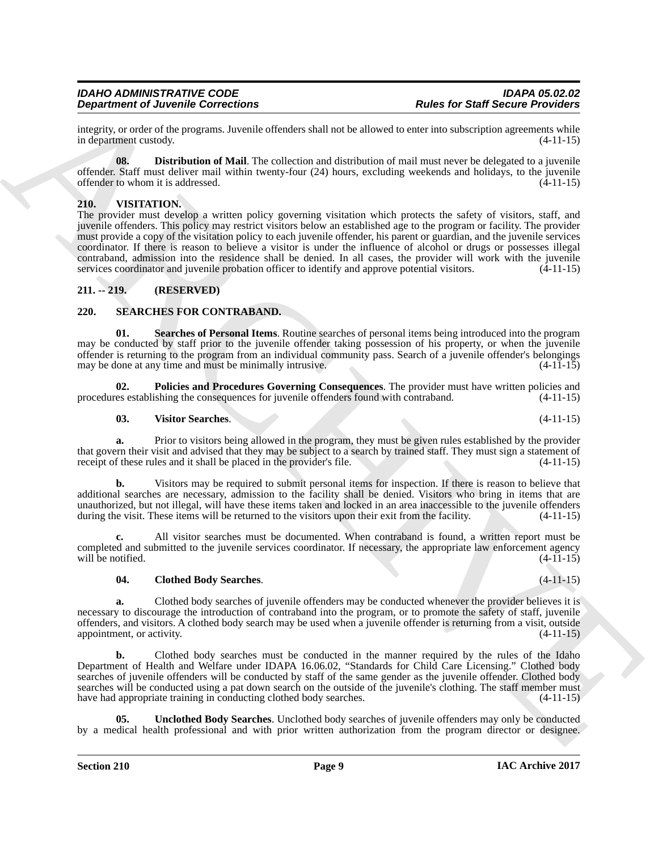integrity, or order of the programs. Juvenile offenders shall not be allowed to enter into subscription agreements while in department custody.

<span id="page-8-3"></span>**08. Distribution of Mail**. The collection and distribution of mail must never be delegated to a juvenile offender. Staff must deliver mail within twenty-four (24) hours, excluding weekends and holidays, to the juvenile offender to whom it is addressed. (4-11-15)

### <span id="page-8-10"></span><span id="page-8-0"></span>**210. VISITATION.**

**Dependent of June 2018** Start for the contribution of the start for the start for Start Start for the start for the start for the start for the start for the start for the start for the start for the start of the start i The provider must develop a written policy governing visitation which protects the safety of visitors, staff, and juvenile offenders. This policy may restrict visitors below an established age to the program or facility. The provider must provide a copy of the visitation policy to each juvenile offender, his parent or guardian, and the juvenile services coordinator. If there is reason to believe a visitor is under the influence of alcohol or drugs or possesses illegal contraband, admission into the residence shall be denied. In all cases, the provider will work with the juvenile services coordinator and juvenile probation officer to identify and approve potential visitors. (4-11-15)

### <span id="page-8-1"></span>**211. -- 219. (RESERVED)**

### <span id="page-8-4"></span><span id="page-8-2"></span>**220. SEARCHES FOR CONTRABAND.**

<span id="page-8-7"></span>**01. Searches of Personal Items**. Routine searches of personal items being introduced into the program may be conducted by staff prior to the juvenile offender taking possession of his property, or when the juvenile offender is returning to the program from an individual community pass. Search of a juvenile offender's belongings may be done at any time and must be minimally intrusive. (4-11-15) may be done at any time and must be minimally intrusive.

**02.** Policies and Procedures Governing Consequences. The provider must have written policies and es establishing the consequences for invenile offenders found with contraband. (4-11-15) procedures establishing the consequences for juvenile offenders found with contraband.

### <span id="page-8-9"></span><span id="page-8-6"></span>**03. Visitor Searches**. (4-11-15)

**a.** Prior to visitors being allowed in the program, they must be given rules established by the provider that govern their visit and advised that they may be subject to a search by trained staff. They must sign a statement of receipt of these rules and it shall be placed in the provider's file. (4-11-15)

**b.** Visitors may be required to submit personal items for inspection. If there is reason to believe that additional searches are necessary, admission to the facility shall be denied. Visitors who bring in items that are unauthorized, but not illegal, will have these items taken and locked in an area inaccessible to the juvenile offenders during the visit. These items will be returned to the visitors upon their exit from the facility. (4-11-15)

**c.** All visitor searches must be documented. When contraband is found, a written report must be completed and submitted to the juvenile services coordinator. If necessary, the appropriate law enforcement agency will be notified.  $(4-11-15)$ 

### <span id="page-8-5"></span>**04. Clothed Body Searches**. (4-11-15)

**a.** Clothed body searches of juvenile offenders may be conducted whenever the provider believes it is necessary to discourage the introduction of contraband into the program, or to promote the safety of staff, juvenile offenders, and visitors. A clothed body search may be used when a juvenile offender is returning from a visit, outside appointment, or activity. (4-11-15)

**b.** Clothed body searches must be conducted in the manner required by the rules of the Idaho Department of Health and Welfare under IDAPA 16.06.02, "Standards for Child Care Licensing." Clothed body searches of juvenile offenders will be conducted by staff of the same gender as the juvenile offender. Clothed body searches will be conducted using a pat down search on the outside of the juvenile's clothing. The staff member must have had appropriate training in conducting clothed body searches. (4-11-15)

<span id="page-8-8"></span>**05. Unclothed Body Searches**. Unclothed body searches of juvenile offenders may only be conducted by a medical health professional and with prior written authorization from the program director or designee.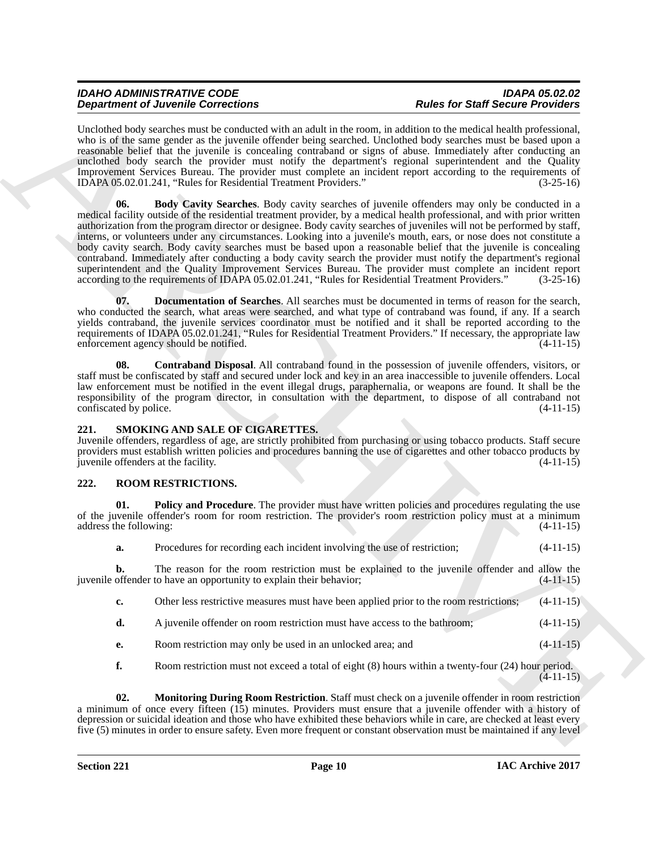### <span id="page-9-8"></span><span id="page-9-7"></span><span id="page-9-6"></span><span id="page-9-0"></span>**221. SMOKING AND SALE OF CIGARETTES.**

### <span id="page-9-4"></span><span id="page-9-3"></span><span id="page-9-2"></span><span id="page-9-1"></span>**222. ROOM RESTRICTIONS.**

<span id="page-9-5"></span>

|                               | <b>Department of Juvenile Corrections</b>                                                         | <b>Rules for Staff Secure Providers</b>                                                                                                                                                                                                                                                                                                                                                                                                                                                                                                                                                                                                                                                                                                                                                                                       |             |
|-------------------------------|---------------------------------------------------------------------------------------------------|-------------------------------------------------------------------------------------------------------------------------------------------------------------------------------------------------------------------------------------------------------------------------------------------------------------------------------------------------------------------------------------------------------------------------------------------------------------------------------------------------------------------------------------------------------------------------------------------------------------------------------------------------------------------------------------------------------------------------------------------------------------------------------------------------------------------------------|-------------|
|                               | IDAPA 05.02.01.241, "Rules for Residential Treatment Providers."                                  | Unclothed body searches must be conducted with an adult in the room, in addition to the medical health professional,<br>who is of the same gender as the juvenile offender being searched. Unclothed body searches must be based upon a<br>reasonable belief that the juvenile is concealing contraband or signs of abuse. Immediately after conducting an<br>unclothed body search the provider must notify the department's regional superintendent and the Quality<br>Improvement Services Bureau. The provider must complete an incident report according to the requirements of                                                                                                                                                                                                                                          | $(3-25-16)$ |
| 06.                           | according to the requirements of IDAPA 05.02.01.241, "Rules for Residential Treatment Providers." | Body Cavity Searches. Body cavity searches of juvenile offenders may only be conducted in a<br>medical facility outside of the residential treatment provider, by a medical health professional, and with prior written<br>authorization from the program director or designee. Body cavity searches of juveniles will not be performed by staff,<br>interns, or volunteers under any circumstances. Looking into a juvenile's mouth, ears, or nose does not constitute a<br>body cavity search. Body cavity searches must be based upon a reasonable belief that the juvenile is concealing<br>contraband. Immediately after conducting a body cavity search the provider must notify the department's regional<br>superintendent and the Quality Improvement Services Bureau. The provider must complete an incident report | $(3-25-16)$ |
| 07.                           | enforcement agency should be notified.                                                            | <b>Documentation of Searches.</b> All searches must be documented in terms of reason for the search,<br>who conducted the search, what areas were searched, and what type of contraband was found, if any. If a search<br>yields contraband, the juvenile services coordinator must be notified and it shall be reported according to the<br>requirements of IDAPA 05.02.01.241, "Rules for Residential Treatment Providers." If necessary, the appropriate law                                                                                                                                                                                                                                                                                                                                                               | $(4-11-15)$ |
| 08.<br>confiscated by police. |                                                                                                   | Contraband Disposal. All contraband found in the possession of juvenile offenders, visitors, or<br>staff must be confiscated by staff and secured under lock and key in an area inaccessible to juvenile offenders. Local<br>law enforcement must be notified in the event illegal drugs, paraphernalia, or weapons are found. It shall be the<br>responsibility of the program director, in consultation with the department, to dispose of all contraband not                                                                                                                                                                                                                                                                                                                                                               | $(4-11-15)$ |
| 221.                          | SMOKING AND SALE OF CIGARETTES.<br>juvenile offenders at the facility.                            | Juvenile offenders, regardless of age, are strictly prohibited from purchasing or using tobacco products. Staff secure<br>providers must establish written policies and procedures banning the use of cigarettes and other tobacco products by                                                                                                                                                                                                                                                                                                                                                                                                                                                                                                                                                                                | $(4-11-15)$ |
| 222.                          | ROOM RESTRICTIONS.                                                                                |                                                                                                                                                                                                                                                                                                                                                                                                                                                                                                                                                                                                                                                                                                                                                                                                                               |             |
| 01.<br>address the following: |                                                                                                   | Policy and Procedure. The provider must have written policies and procedures regulating the use<br>of the juvenile offender's room for room restriction. The provider's room restriction policy must at a minimum                                                                                                                                                                                                                                                                                                                                                                                                                                                                                                                                                                                                             | $(4-11-15)$ |
| a.                            | Procedures for recording each incident involving the use of restriction;                          |                                                                                                                                                                                                                                                                                                                                                                                                                                                                                                                                                                                                                                                                                                                                                                                                                               | $(4-11-15)$ |
| b.                            | juvenile offender to have an opportunity to explain their behavior;                               | The reason for the room restriction must be explained to the juvenile offender and allow the                                                                                                                                                                                                                                                                                                                                                                                                                                                                                                                                                                                                                                                                                                                                  | $(4-11-15)$ |
| c.                            |                                                                                                   | Other less restrictive measures must have been applied prior to the room restrictions;                                                                                                                                                                                                                                                                                                                                                                                                                                                                                                                                                                                                                                                                                                                                        | $(4-11-15)$ |
| d.                            | A juvenile offender on room restriction must have access to the bathroom;                         |                                                                                                                                                                                                                                                                                                                                                                                                                                                                                                                                                                                                                                                                                                                                                                                                                               | $(4-11-15)$ |
| е.                            | Room restriction may only be used in an unlocked area; and                                        |                                                                                                                                                                                                                                                                                                                                                                                                                                                                                                                                                                                                                                                                                                                                                                                                                               | $(4-11-15)$ |
| f.                            |                                                                                                   | Room restriction must not exceed a total of eight (8) hours within a twenty-four (24) hour period.                                                                                                                                                                                                                                                                                                                                                                                                                                                                                                                                                                                                                                                                                                                            | $(4-11-15)$ |
| 02.                           |                                                                                                   | Monitoring During Room Restriction. Staff must check on a juvenile offender in room restriction<br>a minimum of once every fifteen (15) minutes. Providers must ensure that a juvenile offender with a history of<br>depression or suicidal ideation and those who have exhibited these behaviors while in care, are checked at least every<br>five (5) minutes in order to ensure safety. Even more frequent or constant observation must be maintained if any level                                                                                                                                                                                                                                                                                                                                                         |             |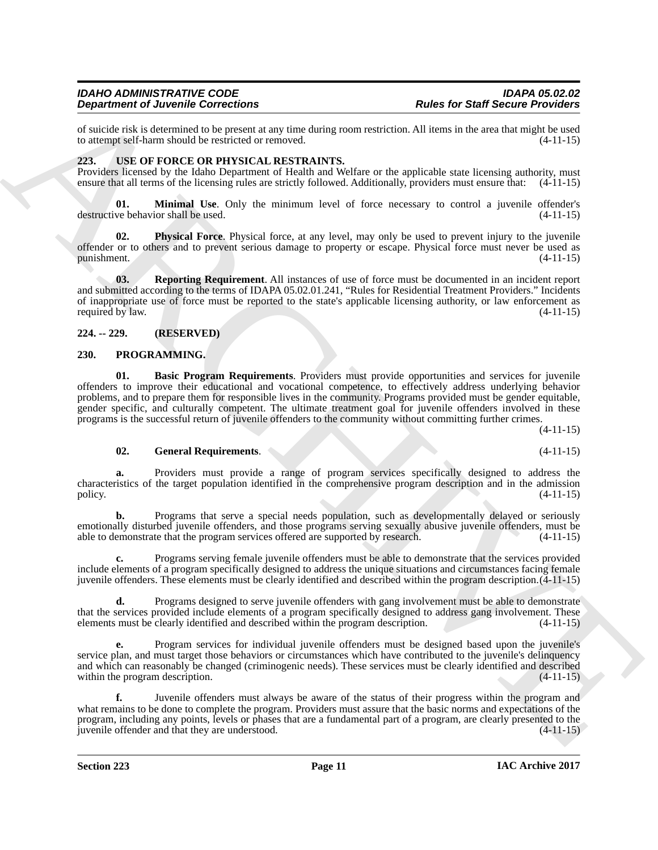of suicide risk is determined to be present at any time during room restriction. All items in the area that might be used to attempt self-harm should be restricted or removed.

### <span id="page-10-6"></span><span id="page-10-0"></span>**223. USE OF FORCE OR PHYSICAL RESTRAINTS.**

Providers licensed by the Idaho Department of Health and Welfare or the applicable state licensing authority, must ensure that all terms of the licensing rules are strictly followed. Additionally, providers must ensure that: (4-11-15)

<span id="page-10-7"></span>**01. Minimal Use**. Only the minimum level of force necessary to control a juvenile offender's destructive behavior shall be used. (4-11-15)

<span id="page-10-8"></span>**02. Physical Force**. Physical force, at any level, may only be used to prevent injury to the juvenile offender or to others and to prevent serious damage to property or escape. Physical force must never be used as punishment. (4-11-15)

<span id="page-10-9"></span>**03. Reporting Requirement**. All instances of use of force must be documented in an incident report and submitted according to the terms of IDAPA 05.02.01.241, "Rules for Residential Treatment Providers." Incidents of inappropriate use of force must be reported to the state's applicable licensing authority, or law enforcement as required by law.  $(4-11-15)$ required by law.

### <span id="page-10-1"></span>**224. -- 229. (RESERVED)**

### <span id="page-10-4"></span><span id="page-10-3"></span><span id="page-10-2"></span>**230. PROGRAMMING.**

**Experimental developments of the start of the start and the start of the start of the start of the start of the start of the start of the start of the start of the start of the start of the start of the start of the star 01. Basic Program Requirements**. Providers must provide opportunities and services for juvenile offenders to improve their educational and vocational competence, to effectively address underlying behavior problems, and to prepare them for responsible lives in the community. Programs provided must be gender equitable, gender specific, and culturally competent. The ultimate treatment goal for juvenile offenders involved in these programs is the successful return of juvenile offenders to the community without committing further crimes.

(4-11-15)

### <span id="page-10-5"></span>**02. General Requirements**. (4-11-15)

**a.** Providers must provide a range of program services specifically designed to address the characteristics of the target population identified in the comprehensive program description and in the admission policy.  $(4-11-15)$ 

Programs that serve a special needs population, such as developmentally delayed or seriously emotionally disturbed juvenile offenders, and those programs serving sexually abusive juvenile offenders, must be able to demonstrate that the program services offered are supported by research. (4-11-15)

**c.** Programs serving female juvenile offenders must be able to demonstrate that the services provided include elements of a program specifically designed to address the unique situations and circumstances facing female juvenile offenders. These elements must be clearly identified and described within the program description.(4-11-15)

**d.** Programs designed to serve juvenile offenders with gang involvement must be able to demonstrate that the services provided include elements of a program specifically designed to address gang involvement. These elements must be clearly identified and described within the program description. (4-11-15)

**e.** Program services for individual juvenile offenders must be designed based upon the juvenile's service plan, and must target those behaviors or circumstances which have contributed to the juvenile's delinquency and which can reasonably be changed (criminogenic needs). These services must be clearly identified and described within the program description. (4-11-15)

**f.** Juvenile offenders must always be aware of the status of their progress within the program and what remains to be done to complete the program. Providers must assure that the basic norms and expectations of the program, including any points, levels or phases that are a fundamental part of a program, are clearly presented to the juvenile offender and that they are understood.  $(4-11-15)$ juvenile offender and that they are understood.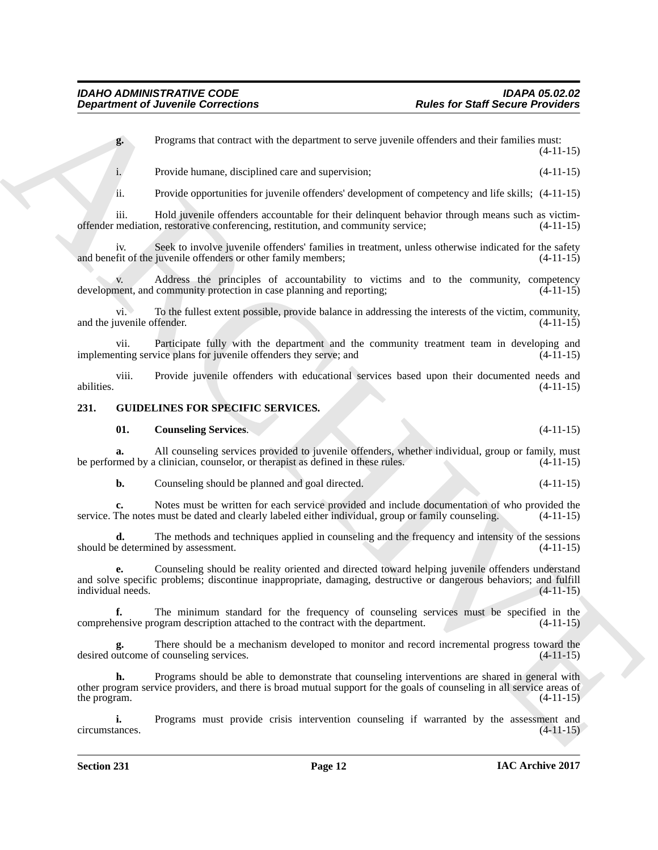**g.** Programs that contract with the department to serve juvenile offenders and their families must: (4-11-15)

i. Provide humane, disciplined care and supervision; (4-11-15)

ii. Provide opportunities for juvenile offenders' development of competency and life skills; (4-11-15)

iii. Hold juvenile offenders accountable for their delinquent behavior through means such as victimoffender mediation, restorative conferencing, restitution, and community service; (4-11-15)

iv. Seek to involve juvenile offenders' families in treatment, unless otherwise indicated for the safety fit of the juvenile offenders or other family members; (4-11-15) and benefit of the juvenile offenders or other family members;

v. Address the principles of accountability to victims and to the community, competency nent, and community protection in case planning and reporting; (4-11-15) development, and community protection in case planning and reporting;

vi. To the fullest extent possible, provide balance in addressing the interests of the victim, community, and the juvenile offender. (4-11-15)

vii. Participate fully with the department and the community treatment team in developing and the community treatment team in developing and (4-11-15) implementing service plans for juvenile offenders they serve; and

viii. Provide juvenile offenders with educational services based upon their documented needs and abilities. (4-11-15)

### <span id="page-11-0"></span>**231. GUIDELINES FOR SPECIFIC SERVICES.**

### <span id="page-11-2"></span><span id="page-11-1"></span>**01. Counseling Services**. (4-11-15)

**a.** All counseling services provided to juvenile offenders, whether individual, group or family, must med by a clinician, counselor, or therapist as defined in these rules.  $(4-11-15)$ be performed by a clinician, counselor, or therapist as defined in these rules.

**b.** Counseling should be planned and goal directed. (4-11-15)

**c.** Notes must be written for each service provided and include documentation of who provided the service. The notes must be dated and clearly labeled either individual, group or family counseling. (4-11-15)

**d.** The methods and techniques applied in counseling and the frequency and intensity of the sessions e determined by assessment. (4-11-15) should be determined by assessment.

**Exparameler of Juvenine Convections**<br> **Exparameler of Nucesian Convections**<br> **Exparameler of Nucesian Convections**<br> **Exparameler of Nucesian Convections**<br> **Exparameler of Nucesian Convections**<br> **Exparameler of Nucesian C e.** Counseling should be reality oriented and directed toward helping juvenile offenders understand and solve specific problems; discontinue inappropriate, damaging, destructive or dangerous behaviors; and fulfill  $intividual needs.$  (4-11-15)

**f.** The minimum standard for the frequency of counseling services must be specified in the ensive program description attached to the contract with the department. (4-11-15) comprehensive program description attached to the contract with the department.

**g.** There should be a mechanism developed to monitor and record incremental progress toward the outcome of counseling services. (4-11-15) desired outcome of counseling services.

**h.** Programs should be able to demonstrate that counseling interventions are shared in general with other program service providers, and there is broad mutual support for the goals of counseling in all service areas of the program.  $(4-11-15)$ 

**i.** Programs must provide crisis intervention counseling if warranted by the assessment and ances. (4-11-15) circumstances.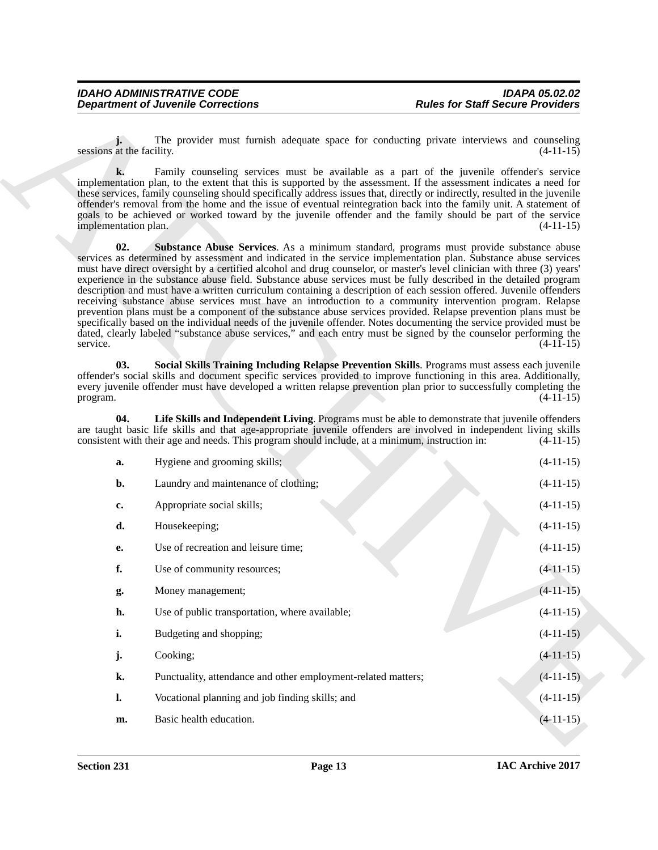<span id="page-12-2"></span><span id="page-12-1"></span><span id="page-12-0"></span>

|                            | <b>Department of Juvenile Corrections</b>                                                       | <b>Rules for Staff Secure Providers</b>                                                                                                                                                                                                                                                                                                                                                                                                                                                                                                                                                                                                                                                                                                                                                                                                                                                                                                                                                                                                                                    |
|----------------------------|-------------------------------------------------------------------------------------------------|----------------------------------------------------------------------------------------------------------------------------------------------------------------------------------------------------------------------------------------------------------------------------------------------------------------------------------------------------------------------------------------------------------------------------------------------------------------------------------------------------------------------------------------------------------------------------------------------------------------------------------------------------------------------------------------------------------------------------------------------------------------------------------------------------------------------------------------------------------------------------------------------------------------------------------------------------------------------------------------------------------------------------------------------------------------------------|
| sessions at the facility.  |                                                                                                 | The provider must furnish adequate space for conducting private interviews and counseling<br>$(4-11-15)$                                                                                                                                                                                                                                                                                                                                                                                                                                                                                                                                                                                                                                                                                                                                                                                                                                                                                                                                                                   |
| k.<br>implementation plan. |                                                                                                 | Family counseling services must be available as a part of the juvenile offender's service<br>implementation plan, to the extent that this is supported by the assessment. If the assessment indicates a need for<br>these services, family counseling should specifically address issues that, directly or indirectly, resulted in the juvenile<br>offender's removal from the home and the issue of eventual reintegration back into the family unit. A statement of<br>goals to be achieved or worked toward by the juvenile offender and the family should be part of the service<br>$(4-11-15)$                                                                                                                                                                                                                                                                                                                                                                                                                                                                        |
| 02.<br>service.            |                                                                                                 | Substance Abuse Services. As a minimum standard, programs must provide substance abuse<br>services as determined by assessment and indicated in the service implementation plan. Substance abuse services<br>must have direct oversight by a certified alcohol and drug counselor, or master's level clinician with three (3) years'<br>experience in the substance abuse field. Substance abuse services must be fully described in the detailed program<br>description and must have a written curriculum containing a description of each session offered. Juvenile offenders<br>receiving substance abuse services must have an introduction to a community intervention program. Relapse<br>prevention plans must be a component of the substance abuse services provided. Relapse prevention plans must be<br>specifically based on the individual needs of the juvenile offender. Notes documenting the service provided must be<br>dated, clearly labeled "substance abuse services," and each entry must be signed by the counselor performing the<br>$(4-11-15)$ |
| 03.<br>program.            |                                                                                                 | Social Skills Training Including Relapse Prevention Skills. Programs must assess each juvenile<br>offender's social skills and document specific services provided to improve functioning in this area. Additionally,<br>every juvenile offender must have developed a written relapse prevention plan prior to successfully completing the<br>$(4-11-15)$                                                                                                                                                                                                                                                                                                                                                                                                                                                                                                                                                                                                                                                                                                                 |
| 04.                        | consistent with their age and needs. This program should include, at a minimum, instruction in: | Life Skills and Independent Living. Programs must be able to demonstrate that juvenile offenders<br>are taught basic life skills and that age-appropriate juvenile offenders are involved in independent living skills<br>$(4-11-15)$                                                                                                                                                                                                                                                                                                                                                                                                                                                                                                                                                                                                                                                                                                                                                                                                                                      |
| a.                         | Hygiene and grooming skills;                                                                    | $(4-11-15)$                                                                                                                                                                                                                                                                                                                                                                                                                                                                                                                                                                                                                                                                                                                                                                                                                                                                                                                                                                                                                                                                |
| b.                         | Laundry and maintenance of clothing;                                                            | $(4-11-15)$                                                                                                                                                                                                                                                                                                                                                                                                                                                                                                                                                                                                                                                                                                                                                                                                                                                                                                                                                                                                                                                                |
| c.                         | Appropriate social skills;                                                                      | $(4-11-15)$                                                                                                                                                                                                                                                                                                                                                                                                                                                                                                                                                                                                                                                                                                                                                                                                                                                                                                                                                                                                                                                                |
| d.                         | Housekeeping;                                                                                   | $(4-11-15)$                                                                                                                                                                                                                                                                                                                                                                                                                                                                                                                                                                                                                                                                                                                                                                                                                                                                                                                                                                                                                                                                |
| е.                         | Use of recreation and leisure time;                                                             | $(4-11-15)$                                                                                                                                                                                                                                                                                                                                                                                                                                                                                                                                                                                                                                                                                                                                                                                                                                                                                                                                                                                                                                                                |
| f.                         | Use of community resources;                                                                     | $(4-11-15)$                                                                                                                                                                                                                                                                                                                                                                                                                                                                                                                                                                                                                                                                                                                                                                                                                                                                                                                                                                                                                                                                |
| g.                         | Money management;                                                                               | $(4-11-15)$                                                                                                                                                                                                                                                                                                                                                                                                                                                                                                                                                                                                                                                                                                                                                                                                                                                                                                                                                                                                                                                                |
| h.                         | Use of public transportation, where available;                                                  | $(4-11-15)$                                                                                                                                                                                                                                                                                                                                                                                                                                                                                                                                                                                                                                                                                                                                                                                                                                                                                                                                                                                                                                                                |
| i.                         | Budgeting and shopping;                                                                         | $(4-11-15)$                                                                                                                                                                                                                                                                                                                                                                                                                                                                                                                                                                                                                                                                                                                                                                                                                                                                                                                                                                                                                                                                |
| j.                         | Cooking;                                                                                        | $(4-11-15)$                                                                                                                                                                                                                                                                                                                                                                                                                                                                                                                                                                                                                                                                                                                                                                                                                                                                                                                                                                                                                                                                |
| k.                         | Punctuality, attendance and other employment-related matters;                                   | $(4-11-15)$                                                                                                                                                                                                                                                                                                                                                                                                                                                                                                                                                                                                                                                                                                                                                                                                                                                                                                                                                                                                                                                                |
| $\mathbf{l}$ .             | Vocational planning and job finding skills; and                                                 | $(4-11-15)$                                                                                                                                                                                                                                                                                                                                                                                                                                                                                                                                                                                                                                                                                                                                                                                                                                                                                                                                                                                                                                                                |
|                            |                                                                                                 |                                                                                                                                                                                                                                                                                                                                                                                                                                                                                                                                                                                                                                                                                                                                                                                                                                                                                                                                                                                                                                                                            |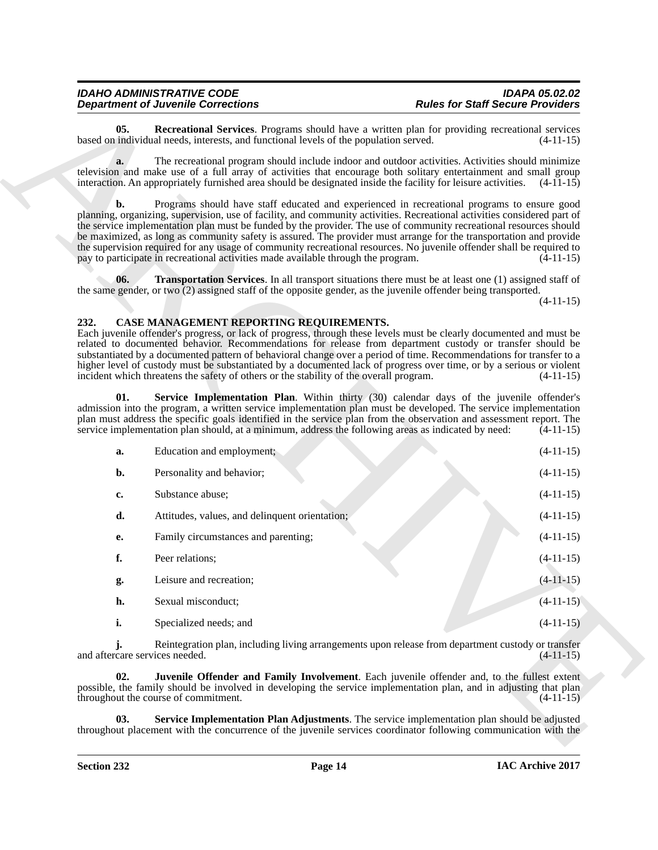### <span id="page-13-6"></span><span id="page-13-4"></span><span id="page-13-3"></span><span id="page-13-2"></span><span id="page-13-1"></span><span id="page-13-0"></span>**232. CASE MANAGEMENT REPORTING REQUIREMENTS.**

<span id="page-13-5"></span>

|                                | <b>Department of Juvenile Corrections</b>                                                                                                                                                                                                                                                                                                                                                                                                                                                                                                                                                                                                                                         | <b>Rules for Staff Secure Providers</b> |
|--------------------------------|-----------------------------------------------------------------------------------------------------------------------------------------------------------------------------------------------------------------------------------------------------------------------------------------------------------------------------------------------------------------------------------------------------------------------------------------------------------------------------------------------------------------------------------------------------------------------------------------------------------------------------------------------------------------------------------|-----------------------------------------|
| 05.                            | <b>Recreational Services</b> . Programs should have a written plan for providing recreational services<br>based on individual needs, interests, and functional levels of the population served.                                                                                                                                                                                                                                                                                                                                                                                                                                                                                   | $(4-11-15)$                             |
| a.                             | The recreational program should include indoor and outdoor activities. Activities should minimize<br>television and make use of a full array of activities that encourage both solitary entertainment and small group<br>interaction. An appropriately furnished area should be designated inside the facility for leisure activities. (4-11-15)                                                                                                                                                                                                                                                                                                                                  |                                         |
| b.                             | Programs should have staff educated and experienced in recreational programs to ensure good<br>planning, organizing, supervision, use of facility, and community activities. Recreational activities considered part of<br>the service implementation plan must be funded by the provider. The use of community recreational resources should<br>be maximized, as long as community safety is assured. The provider must arrange for the transportation and provide<br>the supervision required for any usage of community recreational resources. No juvenile offender shall be required to<br>pay to participate in recreational activities made available through the program. | $(4-11-15)$                             |
| 06.                            | <b>Transportation Services</b> . In all transport situations there must be at least one (1) assigned staff of<br>the same gender, or two (2) assigned staff of the opposite gender, as the juvenile offender being transported.                                                                                                                                                                                                                                                                                                                                                                                                                                                   |                                         |
|                                |                                                                                                                                                                                                                                                                                                                                                                                                                                                                                                                                                                                                                                                                                   | $(4-11-15)$                             |
| 232.                           | CASE MANAGEMENT REPORTING REQUIREMENTS.<br>Each juvenile offender's progress, or lack of progress, through these levels must be clearly documented and must be<br>related to documented behavior. Recommendations for release from department custody or transfer should be<br>substantiated by a documented pattern of behavioral change over a period of time. Recommendations for transfer to a<br>higher level of custody must be substantiated by a documented lack of progress over time, or by a serious or violent<br>incident which threatens the safety of others or the stability of the overall program.                                                              | $(4-11-15)$                             |
| 01.                            | Service Implementation Plan. Within thirty (30) calendar days of the juvenile offender's<br>admission into the program, a written service implementation plan must be developed. The service implementation<br>plan must address the specific goals identified in the service plan from the observation and assessment report. The<br>service implementation plan should, at a minimum, address the following areas as indicated by need:                                                                                                                                                                                                                                         | $(4-11-15)$                             |
| a.                             | Education and employment;                                                                                                                                                                                                                                                                                                                                                                                                                                                                                                                                                                                                                                                         | $(4-11-15)$                             |
| b.                             | Personality and behavior;                                                                                                                                                                                                                                                                                                                                                                                                                                                                                                                                                                                                                                                         | $(4-11-15)$                             |
| c.                             | Substance abuse;                                                                                                                                                                                                                                                                                                                                                                                                                                                                                                                                                                                                                                                                  | $(4-11-15)$                             |
| d.                             | Attitudes, values, and delinquent orientation;                                                                                                                                                                                                                                                                                                                                                                                                                                                                                                                                                                                                                                    | $(4-11-15)$                             |
| е.                             | Family circumstances and parenting;                                                                                                                                                                                                                                                                                                                                                                                                                                                                                                                                                                                                                                               | $(4-11-15)$                             |
| f.                             | Peer relations;                                                                                                                                                                                                                                                                                                                                                                                                                                                                                                                                                                                                                                                                   | $(4-11-15)$                             |
| g.                             | Leisure and recreation;                                                                                                                                                                                                                                                                                                                                                                                                                                                                                                                                                                                                                                                           | $(4-11-15)$                             |
| h.                             | Sexual misconduct;                                                                                                                                                                                                                                                                                                                                                                                                                                                                                                                                                                                                                                                                | $(4-11-15)$                             |
| i.                             | Specialized needs; and                                                                                                                                                                                                                                                                                                                                                                                                                                                                                                                                                                                                                                                            | $(4-11-15)$                             |
| and aftercare services needed. | Reintegration plan, including living arrangements upon release from department custody or transfer                                                                                                                                                                                                                                                                                                                                                                                                                                                                                                                                                                                | $(4-11-15)$                             |
| 02.                            | Juvenile Offender and Family Involvement. Each juvenile offender and, to the fullest extent<br>possible, the family should be involved in developing the service implementation plan, and in adjusting that plan<br>throughout the course of commitment.                                                                                                                                                                                                                                                                                                                                                                                                                          | $(4-11-15)$                             |
|                                |                                                                                                                                                                                                                                                                                                                                                                                                                                                                                                                                                                                                                                                                                   |                                         |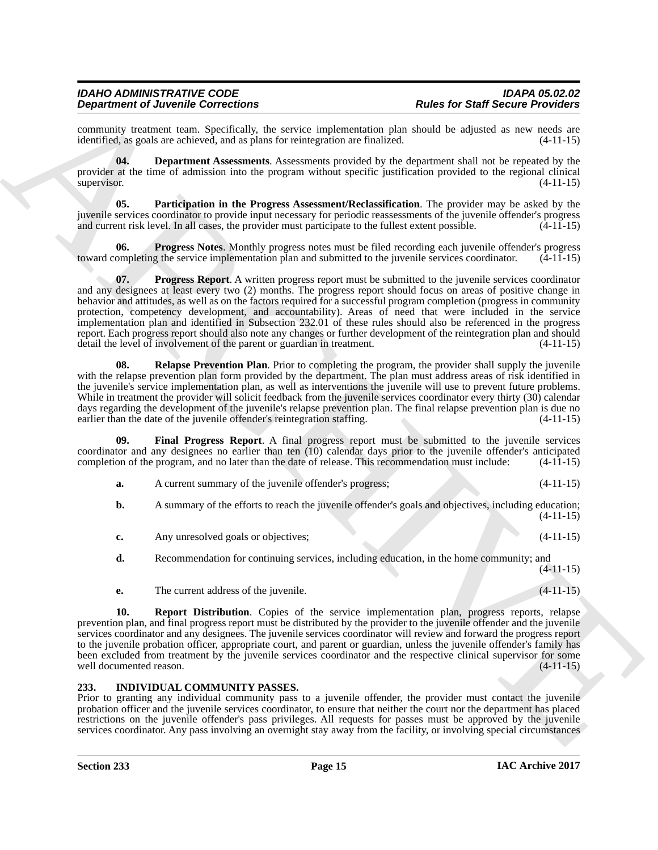<span id="page-14-6"></span><span id="page-14-5"></span><span id="page-14-4"></span><span id="page-14-3"></span><span id="page-14-1"></span>

|                                | <b>Department of Juvenile Corrections</b>                                                           | <b>Rules for Staff Secure Providers</b>                                                                                                                                                                                                                                                                                                                                                                                                                                                                                                                                                                                                                                                                        |                                                                                                                         |
|--------------------------------|-----------------------------------------------------------------------------------------------------|----------------------------------------------------------------------------------------------------------------------------------------------------------------------------------------------------------------------------------------------------------------------------------------------------------------------------------------------------------------------------------------------------------------------------------------------------------------------------------------------------------------------------------------------------------------------------------------------------------------------------------------------------------------------------------------------------------------|-------------------------------------------------------------------------------------------------------------------------|
|                                | identified, as goals are achieved, and as plans for reintegration are finalized.                    | community treatment team. Specifically, the service implementation plan should be adjusted as new needs are                                                                                                                                                                                                                                                                                                                                                                                                                                                                                                                                                                                                    | $(4-11-15)$                                                                                                             |
| 04.<br>supervisor.             |                                                                                                     | <b>Department Assessments.</b> Assessments provided by the department shall not be repeated by the<br>provider at the time of admission into the program without specific justification provided to the regional clinical                                                                                                                                                                                                                                                                                                                                                                                                                                                                                      | $(4-11-15)$                                                                                                             |
| 05.                            | and current risk level. In all cases, the provider must participate to the fullest extent possible. | Participation in the Progress Assessment/Reclassification. The provider may be asked by the<br>juvenile services coordinator to provide input necessary for periodic reassessments of the juvenile offender's progress                                                                                                                                                                                                                                                                                                                                                                                                                                                                                         | $(4-11-15)$                                                                                                             |
| 06.                            |                                                                                                     | <b>Progress Notes.</b> Monthly progress notes must be filed recording each juvenile offender's progress<br>toward completing the service implementation plan and submitted to the juvenile services coordinator.                                                                                                                                                                                                                                                                                                                                                                                                                                                                                               | $(4-11-15)$                                                                                                             |
| 07.                            | detail the level of involvement of the parent or guardian in treatment.                             | <b>Progress Report.</b> A written progress report must be submitted to the juvenile services coordinator<br>and any designees at least every two (2) months. The progress report should focus on areas of positive change in<br>behavior and attitudes, as well as on the factors required for a successful program completion (progress in community<br>protection, competency development, and accountability). Areas of need that were included in the service<br>implementation plan and identified in Subsection 232.01 of these rules should also be referenced in the progress<br>report. Each progress report should also note any changes or further development of the reintegration plan and should | $(4-11-15)$                                                                                                             |
| 08.                            | earlier than the date of the juvenile offender's reintegration staffing.                            | Relapse Prevention Plan. Prior to completing the program, the provider shall supply the juvenile<br>with the relapse prevention plan form provided by the department. The plan must address areas of risk identified in<br>the juvenile's service implementation plan, as well as interventions the juvenile will use to prevent future problems.<br>While in treatment the provider will solicit feedback from the juvenile services coordinator every thirty (30) calendar<br>days regarding the development of the juvenile's relapse prevention plan. The final relapse prevention plan is due no                                                                                                          | $(4-11-15)$                                                                                                             |
| 09.                            | completion of the program, and no later than the date of release. This recommendation must include: | Final Progress Report. A final progress report must be submitted to the juvenile services<br>coordinator and any designees no earlier than ten (10) calendar days prior to the juvenile offender's anticipated                                                                                                                                                                                                                                                                                                                                                                                                                                                                                                 | $(4-11-15)$                                                                                                             |
| a.                             | A current summary of the juvenile offender's progress;                                              |                                                                                                                                                                                                                                                                                                                                                                                                                                                                                                                                                                                                                                                                                                                | $(4-11-15)$                                                                                                             |
| b.                             |                                                                                                     | A summary of the efforts to reach the juvenile offender's goals and objectives, including education;                                                                                                                                                                                                                                                                                                                                                                                                                                                                                                                                                                                                           | $(4-11-15)$                                                                                                             |
| c.                             | Any unresolved goals or objectives;                                                                 |                                                                                                                                                                                                                                                                                                                                                                                                                                                                                                                                                                                                                                                                                                                | $(4-11-15)$                                                                                                             |
| d.                             |                                                                                                     | Recommendation for continuing services, including education, in the home community; and                                                                                                                                                                                                                                                                                                                                                                                                                                                                                                                                                                                                                        | $(4-11-15)$                                                                                                             |
| е.                             | The current address of the juvenile.                                                                |                                                                                                                                                                                                                                                                                                                                                                                                                                                                                                                                                                                                                                                                                                                | $(4-11-15)$                                                                                                             |
| 10.<br>well documented reason. |                                                                                                     | <b>Report Distribution.</b> Copies of the service implementation plan, progress reports, relapse<br>prevention plan, and final progress report must be distributed by the provider to the juvenile offender and the juvenile<br>services coordinator and any designees. The juvenile services coordinator will review and forward the progress report<br>to the juvenile probation officer, appropriate court, and parent or guardian, unless the juvenile offender's family has<br>been excluded from treatment by the juvenile services coordinator and the respective clinical supervisor for some                                                                                                          | $(4-11-15)$                                                                                                             |
| 233.                           | INDIVIDUAL COMMUNITY PASSES.                                                                        | Prior to granting any individual community pass to a juvenile offender, the provider must contact the juvenile                                                                                                                                                                                                                                                                                                                                                                                                                                                                                                                                                                                                 | probation officer and the juvenile services coordinator, to ensure that neither the court nor the department has placed |

### <span id="page-14-8"></span><span id="page-14-7"></span><span id="page-14-2"></span><span id="page-14-0"></span>**233. INDIVIDUAL COMMUNITY PASSES.**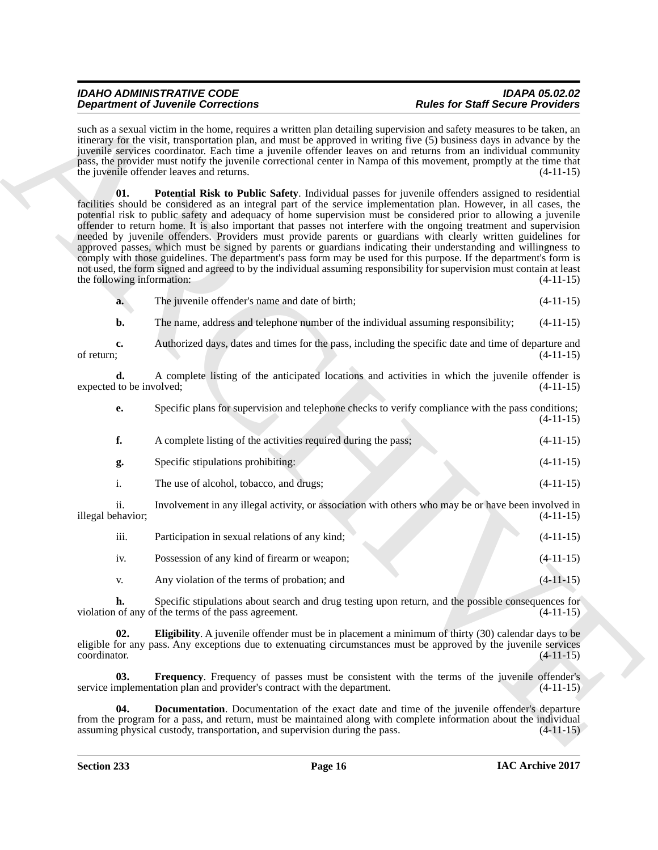<span id="page-15-3"></span>such as a sexual victim in the home, requires a written plan detailing supervision and safety measures to be taken, an itinerary for the visit, transportation plan, and must be approved in writing five (5) business days in advance by the juvenile services coordinator. Each time a juvenile offender leaves on and returns from an individual community pass, the provider must notify the juvenile correctional center in Nampa of this movement, promptly at the time that the juvenile offender leaves and returns. (4-11-15)

**Experimental de Concertes de la mandata de la mandata de la mandata de la mandata de la mandata de la mandata de la mandata de la mandata de la mandata de la mandata de la mandata de la mandata de la mandata de la mandat 01. Potential Risk to Public Safety**. Individual passes for juvenile offenders assigned to residential facilities should be considered as an integral part of the service implementation plan. However, in all cases, the potential risk to public safety and adequacy of home supervision must be considered prior to allowing a juvenile offender to return home. It is also important that passes not interfere with the ongoing treatment and supervision needed by juvenile offenders. Providers must provide parents or guardians with clearly written guidelines for approved passes, which must be signed by parents or guardians indicating their understanding and willingness to comply with those guidelines. The department's pass form may be used for this purpose. If the department's form is not used, the form signed and agreed to by the individual assuming responsibility for supervision must contain at least the following information: (4-11-15)

| The juvenile offender's name and date of birth;<br>$(4-11-15)$<br>a. |
|----------------------------------------------------------------------|
|----------------------------------------------------------------------|

**b.** The name, address and telephone number of the individual assuming responsibility; (4-11-15)

**c.** Authorized days, dates and times for the pass, including the specific date and time of departure and of return; (4-11-15) of return;  $(4-11-15)$ 

**d.** A complete listing of the anticipated locations and activities in which the juvenile offender is expected to be involved; (4-11-15)

| Specific plans for supervision and telephone checks to verify compliance with the pass conditions; |             |  |
|----------------------------------------------------------------------------------------------------|-------------|--|
|                                                                                                    | $(4-11-15)$ |  |

|     | A complete listing of the activities required during the pass;                                      | $(4-11-15)$ |
|-----|-----------------------------------------------------------------------------------------------------|-------------|
| g.  | Specific stipulations prohibiting:                                                                  | $(4-11-15)$ |
|     | The use of alcohol, tobacco, and drugs;                                                             | $(4-11-15)$ |
| ii. | Involvement in any illegal activity, or association with others who may be or have been involved in |             |

illegal behavior; (4-11-15)

| iii. | Participation in sexual relations of any kind; | $(4-11-15)$ |
|------|------------------------------------------------|-------------|
| 1V.  | Possession of any kind of firearm or weapon;   | $(4-11-15)$ |
| V.   | Any violation of the terms of probation; and   | $(4-11-15)$ |

**h.** Specific stipulations about search and drug testing upon return, and the possible consequences for of any of the terms of the pass agreement.  $(4-11-15)$ violation of any of the terms of the pass agreement.

<span id="page-15-1"></span>**02. Eligibility**. A juvenile offender must be in placement a minimum of thirty (30) calendar days to be eligible for any pass. Any exceptions due to extenuating circumstances must be approved by the juvenile services coordinator. (4-11-15) coordinator.  $(4-11-15)$ 

<span id="page-15-2"></span>**03. Frequency.** Frequency of passes must be consistent with the terms of the juvenile offender's contract with the department. (4-11-15) service implementation plan and provider's contract with the department.

<span id="page-15-0"></span>**04. Documentation**. Documentation of the exact date and time of the juvenile offender's departure from the program for a pass, and return, must be maintained along with complete information about the individual assuming physical custody, transportation, and supervision during the pass. (4-11-15) assuming physical custody, transportation, and supervision during the pass.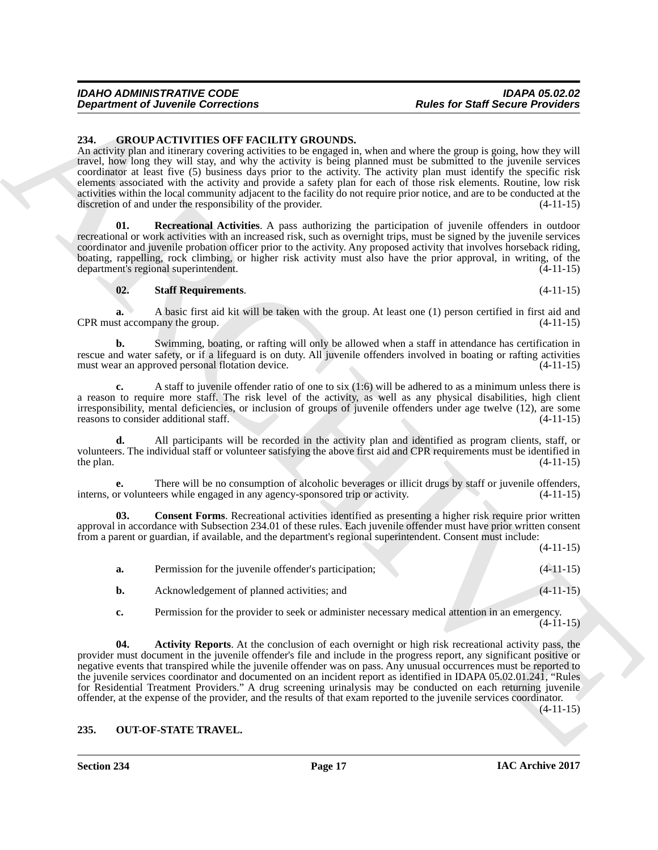<span id="page-16-2"></span><span id="page-16-0"></span>**234. GROUP ACTIVITIES OFF FACILITY GROUNDS.**

An activity plan and itinerary covering activities to be engaged in, when and where the group is going, how they will travel, how long they will stay, and why the activity is being planned must be submitted to the juvenile services coordinator at least five (5) business days prior to the activity. The activity plan must identify the specific risk elements associated with the activity and provide a safety plan for each of those risk elements. Routine, low risk activities within the local community adjacent to the facility do not require prior notice, and are to be conducted at the discretion of and under the responsibility of the provider. (4-11-15)

<span id="page-16-5"></span>**Recreational Activities**. A pass authorizing the participation of juvenile offenders in outdoor recreational or work activities with an increased risk, such as overnight trips, must be signed by the juvenile services coordinator and juvenile probation officer prior to the activity. Any proposed activity that involves horseback riding, boating, rappelling, rock climbing, or higher risk activity must also have the prior approval, in writing, of the department's regional superintendent. (4-11-15)

### <span id="page-16-6"></span>**02. Staff Requirements**. (4-11-15)

**a.** A basic first aid kit will be taken with the group. At least one (1) person certified in first aid and CPR must accompany the group. (4-11-15)

**b.** Swimming, boating, or rafting will only be allowed when a staff in attendance has certification in rescue and water safety, or if a lifeguard is on duty. All juvenile offenders involved in boating or rafting activities must wear an approved personal flotation device.  $(4-11-15)$ must wear an approved personal flotation device.

**c.** A staff to juvenile offender ratio of one to six (1:6) will be adhered to as a minimum unless there is a reason to require more staff. The risk level of the activity, as well as any physical disabilities, high client irresponsibility, mental deficiencies, or inclusion of groups of juvenile offenders under age twelve (12), are some reasons to consider additional staff. reasons to consider additional staff.

**d.** All participants will be recorded in the activity plan and identified as program clients, staff, or volunteers. The individual staff or volunteer satisfying the above first aid and CPR requirements must be identified in the plan.  $(4-11-15)$ 

**e.** There will be no consumption of alcoholic beverages or illicit drugs by staff or juvenile offenders, or volunteers while engaged in any agency-sponsored trip or activity.  $(4-11-15)$ interns, or volunteers while engaged in any agency-sponsored trip or activity.

**Consent Forms**. Recreational activities identified as presenting a higher risk require prior written approval in accordance with Subsection 234.01 of these rules. Each juvenile offender must have prior written consent from a parent or guardian, if available, and the department's regional superintendent. Consent must include:

(4-11-15)

<span id="page-16-4"></span>

| а. | Permission for the juvenile offender's participation; | $(4-11-15)$ |
|----|-------------------------------------------------------|-------------|
|    | Acknowledgement of planned activities; and            | $(4-11-15)$ |

<span id="page-16-3"></span>**c.** Permission for the provider to seek or administer necessary medical attention in an emergency.  $(4-11-15)$ 

**Department of Juvenile Connections**<br>
24 (BADNEY CONNECTIVE GROUNDS,<br>
24 (BADNEY CONNECTIVE GROUNDS, sure and the Start of Properties of the Start of the Start of the Start of the Start of the Start of the Start of the St **04. Activity Reports**. At the conclusion of each overnight or high risk recreational activity pass, the provider must document in the juvenile offender's file and include in the progress report, any significant positive or negative events that transpired while the juvenile offender was on pass. Any unusual occurrences must be reported to the juvenile services coordinator and documented on an incident report as identified in IDAPA 05.02.01.241, "Rules for Residential Treatment Providers." A drug screening urinalysis may be conducted on each returning juvenile offender, at the expense of the provider, and the results of that exam reported to the juvenile services coordinator. (4-11-15)

### <span id="page-16-7"></span><span id="page-16-1"></span>**235. OUT-OF-STATE TRAVEL.**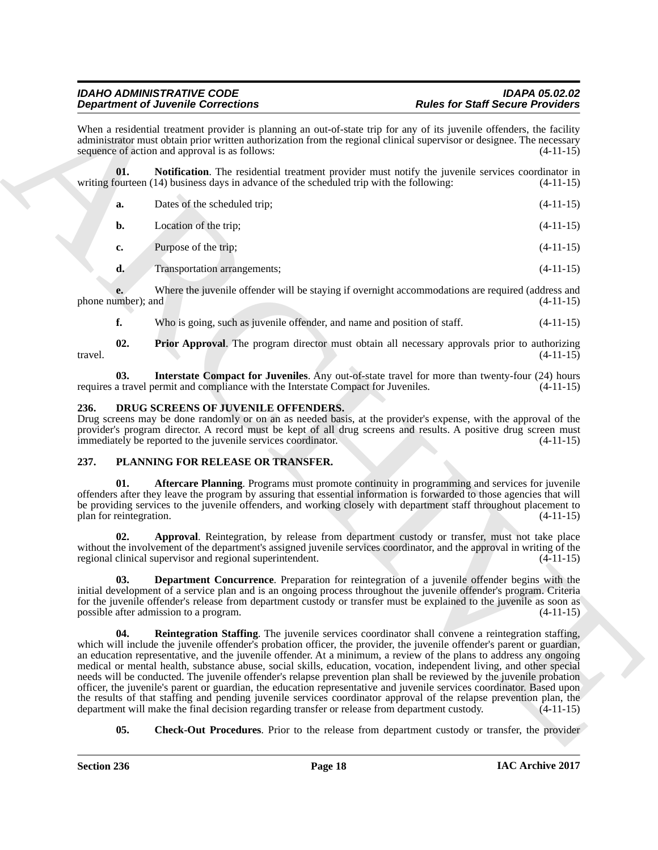<span id="page-17-4"></span>

| sequence of action and approval is as follows:<br>01.<br>writing fourteen (14) business days in advance of the scheduled trip with the following:<br>Dates of the scheduled trip;<br>a.<br>Location of the trip;<br>b.<br>Purpose of the trip;<br>c.<br>d.<br>Transportation arrangements;<br>phone number); and<br>f.<br>Who is going, such as juvenile offender, and name and position of staff.<br>02.<br>travel.<br>03.<br>requires a travel permit and compliance with the Interstate Compact for Juveniles.<br>DRUG SCREENS OF JUVENILE OFFENDERS.<br>236.<br>immediately be reported to the juvenile services coordinator.<br>237.<br>PLANNING FOR RELEASE OR TRANSFER.<br>01.<br>plan for reintegration.<br>02.<br>regional clinical supervisor and regional superintendent.<br>03.<br>possible after admission to a program.<br>04.<br>department will make the final decision regarding transfer or release from department custody. | When a residential treatment provider is planning an out-of-state trip for any of its juvenile offenders, the facility<br>administrator must obtain prior written authorization from the regional clinical supervisor or designee. The necessary<br><b>Notification</b> . The residential treatment provider must notify the juvenile services coordinator in<br>Where the juvenile offender will be staying if overnight accommodations are required (address and<br><b>Prior Approval.</b> The program director must obtain all necessary approvals prior to authorizing<br>Interstate Compact for Juveniles. Any out-of-state travel for more than twenty-four (24) hours<br>Drug screens may be done randomly or on an as needed basis, at the provider's expense, with the approval of the<br>provider's program director. A record must be kept of all drug screens and results. A positive drug screen must<br>Aftercare Planning. Programs must promote continuity in programming and services for juvenile<br>offenders after they leave the program by assuring that essential information is forwarded to those agencies that will<br>be providing services to the juvenile offenders, and working closely with department staff throughout placement to<br>Approval. Reintegration, by release from department custody or transfer, must not take place<br>without the involvement of the department's assigned juvenile services coordinator, and the approval in writing of the<br>Department Concurrence. Preparation for reintegration of a juvenile offender begins with the<br>initial development of a service plan and is an ongoing process throughout the juvenile offender's program. Criteria<br>for the juvenile offender's release from department custody or transfer must be explained to the juvenile as soon as<br><b>Reintegration Staffing.</b> The juvenile services coordinator shall convene a reintegration staffing,<br>which will include the juvenile offender's probation officer, the provider, the juvenile offender's parent or guardian,<br>an education representative, and the juvenile offender. At a minimum, a review of the plans to address any ongoing<br>medical or mental health, substance abuse, social skills, education, vocation, independent living, and other special<br>needs will be conducted. The juvenile offender's relapse prevention plan shall be reviewed by the juvenile probation<br>officer, the juvenile's parent or guardian, the education representative and juvenile services coordinator. Based upon<br>the results of that staffing and pending juvenile services coordinator approval of the relapse prevention plan, the<br>05.<br><b>Check-Out Procedures.</b> Prior to the release from department custody or transfer, the provider | <b>Department of Juvenile Corrections</b> | <b>Rules for Staff Secure Providers</b> |
|------------------------------------------------------------------------------------------------------------------------------------------------------------------------------------------------------------------------------------------------------------------------------------------------------------------------------------------------------------------------------------------------------------------------------------------------------------------------------------------------------------------------------------------------------------------------------------------------------------------------------------------------------------------------------------------------------------------------------------------------------------------------------------------------------------------------------------------------------------------------------------------------------------------------------------------------|---------------------------------------------------------------------------------------------------------------------------------------------------------------------------------------------------------------------------------------------------------------------------------------------------------------------------------------------------------------------------------------------------------------------------------------------------------------------------------------------------------------------------------------------------------------------------------------------------------------------------------------------------------------------------------------------------------------------------------------------------------------------------------------------------------------------------------------------------------------------------------------------------------------------------------------------------------------------------------------------------------------------------------------------------------------------------------------------------------------------------------------------------------------------------------------------------------------------------------------------------------------------------------------------------------------------------------------------------------------------------------------------------------------------------------------------------------------------------------------------------------------------------------------------------------------------------------------------------------------------------------------------------------------------------------------------------------------------------------------------------------------------------------------------------------------------------------------------------------------------------------------------------------------------------------------------------------------------------------------------------------------------------------------------------------------------------------------------------------------------------------------------------------------------------------------------------------------------------------------------------------------------------------------------------------------------------------------------------------------------------------------------------------------------------------------------------------------------------------------------------------------------------------------------------------------------------------------------------------------------------------------------------------------------------------------------------------------------------------------------------------------------------------------------------------------------------|-------------------------------------------|-----------------------------------------|
|                                                                                                                                                                                                                                                                                                                                                                                                                                                                                                                                                                                                                                                                                                                                                                                                                                                                                                                                                |                                                                                                                                                                                                                                                                                                                                                                                                                                                                                                                                                                                                                                                                                                                                                                                                                                                                                                                                                                                                                                                                                                                                                                                                                                                                                                                                                                                                                                                                                                                                                                                                                                                                                                                                                                                                                                                                                                                                                                                                                                                                                                                                                                                                                                                                                                                                                                                                                                                                                                                                                                                                                                                                                                                                                                                                                           |                                           | $(4-11-15)$                             |
|                                                                                                                                                                                                                                                                                                                                                                                                                                                                                                                                                                                                                                                                                                                                                                                                                                                                                                                                                |                                                                                                                                                                                                                                                                                                                                                                                                                                                                                                                                                                                                                                                                                                                                                                                                                                                                                                                                                                                                                                                                                                                                                                                                                                                                                                                                                                                                                                                                                                                                                                                                                                                                                                                                                                                                                                                                                                                                                                                                                                                                                                                                                                                                                                                                                                                                                                                                                                                                                                                                                                                                                                                                                                                                                                                                                           |                                           | $(4-11-15)$                             |
|                                                                                                                                                                                                                                                                                                                                                                                                                                                                                                                                                                                                                                                                                                                                                                                                                                                                                                                                                |                                                                                                                                                                                                                                                                                                                                                                                                                                                                                                                                                                                                                                                                                                                                                                                                                                                                                                                                                                                                                                                                                                                                                                                                                                                                                                                                                                                                                                                                                                                                                                                                                                                                                                                                                                                                                                                                                                                                                                                                                                                                                                                                                                                                                                                                                                                                                                                                                                                                                                                                                                                                                                                                                                                                                                                                                           |                                           | $(4-11-15)$                             |
|                                                                                                                                                                                                                                                                                                                                                                                                                                                                                                                                                                                                                                                                                                                                                                                                                                                                                                                                                |                                                                                                                                                                                                                                                                                                                                                                                                                                                                                                                                                                                                                                                                                                                                                                                                                                                                                                                                                                                                                                                                                                                                                                                                                                                                                                                                                                                                                                                                                                                                                                                                                                                                                                                                                                                                                                                                                                                                                                                                                                                                                                                                                                                                                                                                                                                                                                                                                                                                                                                                                                                                                                                                                                                                                                                                                           |                                           | $(4-11-15)$                             |
|                                                                                                                                                                                                                                                                                                                                                                                                                                                                                                                                                                                                                                                                                                                                                                                                                                                                                                                                                |                                                                                                                                                                                                                                                                                                                                                                                                                                                                                                                                                                                                                                                                                                                                                                                                                                                                                                                                                                                                                                                                                                                                                                                                                                                                                                                                                                                                                                                                                                                                                                                                                                                                                                                                                                                                                                                                                                                                                                                                                                                                                                                                                                                                                                                                                                                                                                                                                                                                                                                                                                                                                                                                                                                                                                                                                           |                                           | $(4-11-15)$                             |
|                                                                                                                                                                                                                                                                                                                                                                                                                                                                                                                                                                                                                                                                                                                                                                                                                                                                                                                                                |                                                                                                                                                                                                                                                                                                                                                                                                                                                                                                                                                                                                                                                                                                                                                                                                                                                                                                                                                                                                                                                                                                                                                                                                                                                                                                                                                                                                                                                                                                                                                                                                                                                                                                                                                                                                                                                                                                                                                                                                                                                                                                                                                                                                                                                                                                                                                                                                                                                                                                                                                                                                                                                                                                                                                                                                                           |                                           | $(4-11-15)$                             |
|                                                                                                                                                                                                                                                                                                                                                                                                                                                                                                                                                                                                                                                                                                                                                                                                                                                                                                                                                |                                                                                                                                                                                                                                                                                                                                                                                                                                                                                                                                                                                                                                                                                                                                                                                                                                                                                                                                                                                                                                                                                                                                                                                                                                                                                                                                                                                                                                                                                                                                                                                                                                                                                                                                                                                                                                                                                                                                                                                                                                                                                                                                                                                                                                                                                                                                                                                                                                                                                                                                                                                                                                                                                                                                                                                                                           |                                           | $(4-11-15)$                             |
|                                                                                                                                                                                                                                                                                                                                                                                                                                                                                                                                                                                                                                                                                                                                                                                                                                                                                                                                                |                                                                                                                                                                                                                                                                                                                                                                                                                                                                                                                                                                                                                                                                                                                                                                                                                                                                                                                                                                                                                                                                                                                                                                                                                                                                                                                                                                                                                                                                                                                                                                                                                                                                                                                                                                                                                                                                                                                                                                                                                                                                                                                                                                                                                                                                                                                                                                                                                                                                                                                                                                                                                                                                                                                                                                                                                           |                                           | $(4-11-15)$                             |
|                                                                                                                                                                                                                                                                                                                                                                                                                                                                                                                                                                                                                                                                                                                                                                                                                                                                                                                                                |                                                                                                                                                                                                                                                                                                                                                                                                                                                                                                                                                                                                                                                                                                                                                                                                                                                                                                                                                                                                                                                                                                                                                                                                                                                                                                                                                                                                                                                                                                                                                                                                                                                                                                                                                                                                                                                                                                                                                                                                                                                                                                                                                                                                                                                                                                                                                                                                                                                                                                                                                                                                                                                                                                                                                                                                                           |                                           | $(4-11-15)$                             |
|                                                                                                                                                                                                                                                                                                                                                                                                                                                                                                                                                                                                                                                                                                                                                                                                                                                                                                                                                |                                                                                                                                                                                                                                                                                                                                                                                                                                                                                                                                                                                                                                                                                                                                                                                                                                                                                                                                                                                                                                                                                                                                                                                                                                                                                                                                                                                                                                                                                                                                                                                                                                                                                                                                                                                                                                                                                                                                                                                                                                                                                                                                                                                                                                                                                                                                                                                                                                                                                                                                                                                                                                                                                                                                                                                                                           |                                           | $(4-11-15)$                             |
|                                                                                                                                                                                                                                                                                                                                                                                                                                                                                                                                                                                                                                                                                                                                                                                                                                                                                                                                                |                                                                                                                                                                                                                                                                                                                                                                                                                                                                                                                                                                                                                                                                                                                                                                                                                                                                                                                                                                                                                                                                                                                                                                                                                                                                                                                                                                                                                                                                                                                                                                                                                                                                                                                                                                                                                                                                                                                                                                                                                                                                                                                                                                                                                                                                                                                                                                                                                                                                                                                                                                                                                                                                                                                                                                                                                           |                                           | $(4-11-15)$                             |
|                                                                                                                                                                                                                                                                                                                                                                                                                                                                                                                                                                                                                                                                                                                                                                                                                                                                                                                                                |                                                                                                                                                                                                                                                                                                                                                                                                                                                                                                                                                                                                                                                                                                                                                                                                                                                                                                                                                                                                                                                                                                                                                                                                                                                                                                                                                                                                                                                                                                                                                                                                                                                                                                                                                                                                                                                                                                                                                                                                                                                                                                                                                                                                                                                                                                                                                                                                                                                                                                                                                                                                                                                                                                                                                                                                                           |                                           |                                         |
|                                                                                                                                                                                                                                                                                                                                                                                                                                                                                                                                                                                                                                                                                                                                                                                                                                                                                                                                                |                                                                                                                                                                                                                                                                                                                                                                                                                                                                                                                                                                                                                                                                                                                                                                                                                                                                                                                                                                                                                                                                                                                                                                                                                                                                                                                                                                                                                                                                                                                                                                                                                                                                                                                                                                                                                                                                                                                                                                                                                                                                                                                                                                                                                                                                                                                                                                                                                                                                                                                                                                                                                                                                                                                                                                                                                           |                                           | $(4-11-15)$                             |
|                                                                                                                                                                                                                                                                                                                                                                                                                                                                                                                                                                                                                                                                                                                                                                                                                                                                                                                                                |                                                                                                                                                                                                                                                                                                                                                                                                                                                                                                                                                                                                                                                                                                                                                                                                                                                                                                                                                                                                                                                                                                                                                                                                                                                                                                                                                                                                                                                                                                                                                                                                                                                                                                                                                                                                                                                                                                                                                                                                                                                                                                                                                                                                                                                                                                                                                                                                                                                                                                                                                                                                                                                                                                                                                                                                                           |                                           | $(4-11-15)$                             |
|                                                                                                                                                                                                                                                                                                                                                                                                                                                                                                                                                                                                                                                                                                                                                                                                                                                                                                                                                |                                                                                                                                                                                                                                                                                                                                                                                                                                                                                                                                                                                                                                                                                                                                                                                                                                                                                                                                                                                                                                                                                                                                                                                                                                                                                                                                                                                                                                                                                                                                                                                                                                                                                                                                                                                                                                                                                                                                                                                                                                                                                                                                                                                                                                                                                                                                                                                                                                                                                                                                                                                                                                                                                                                                                                                                                           |                                           | $(4-11-15)$                             |
|                                                                                                                                                                                                                                                                                                                                                                                                                                                                                                                                                                                                                                                                                                                                                                                                                                                                                                                                                |                                                                                                                                                                                                                                                                                                                                                                                                                                                                                                                                                                                                                                                                                                                                                                                                                                                                                                                                                                                                                                                                                                                                                                                                                                                                                                                                                                                                                                                                                                                                                                                                                                                                                                                                                                                                                                                                                                                                                                                                                                                                                                                                                                                                                                                                                                                                                                                                                                                                                                                                                                                                                                                                                                                                                                                                                           |                                           | $(4-11-15)$                             |

### <span id="page-17-5"></span><span id="page-17-3"></span><span id="page-17-2"></span><span id="page-17-0"></span>**236. DRUG SCREENS OF JUVENILE OFFENDERS.**

### <span id="page-17-11"></span><span id="page-17-10"></span><span id="page-17-9"></span><span id="page-17-8"></span><span id="page-17-7"></span><span id="page-17-6"></span><span id="page-17-1"></span>**237. PLANNING FOR RELEASE OR TRANSFER.**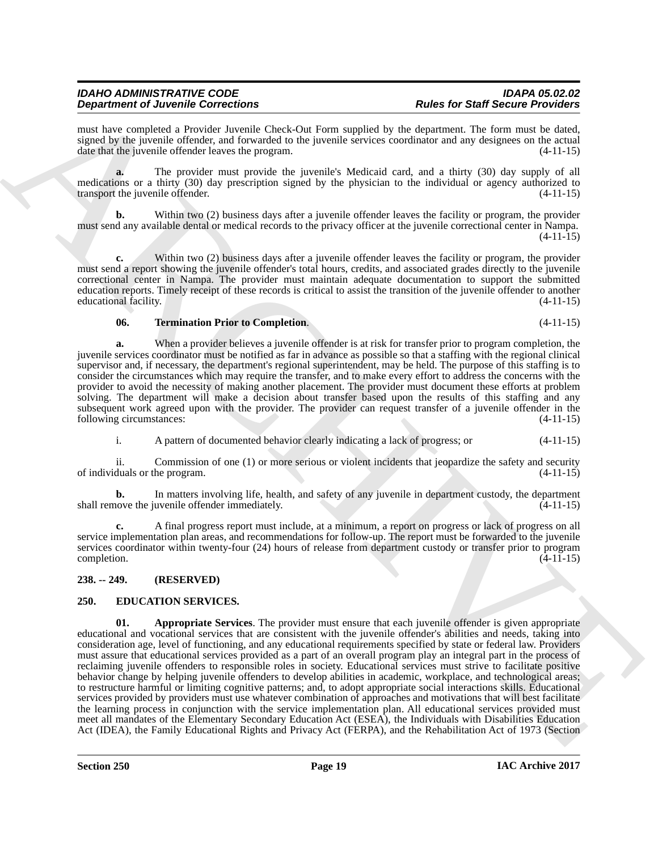must have completed a Provider Juvenile Check-Out Form supplied by the department. The form must be dated, signed by the juvenile offender, and forwarded to the juvenile services coordinator and any designees on the actual date that the juvenile offender leaves the program. (4-11-15) date that the juvenile offender leaves the program.

**a.** The provider must provide the juvenile's Medicaid card, and a thirty (30) day supply of all medications or a thirty (30) day prescription signed by the physician to the individual or agency authorized to transport the invenile offender. (4-11-15) transport the juvenile offender.

**b.** Within two (2) business days after a juvenile offender leaves the facility or program, the provider must send any available dental or medical records to the privacy officer at the juvenile correctional center in Nampa. (4-11-15)

**c.** Within two (2) business days after a juvenile offender leaves the facility or program, the provider must send a report showing the juvenile offender's total hours, credits, and associated grades directly to the juvenile correctional center in Nampa. The provider must maintain adequate documentation to support the submitted education reports. Timely receipt of these records is critical to assist the transition of the juvenile offender to another educational facility. (4-11-15) educational facility.

### <span id="page-18-4"></span>**06. Termination Prior to Completion**. (4-11-15)

**a.** When a provider believes a juvenile offender is at risk for transfer prior to program completion, the juvenile services coordinator must be notified as far in advance as possible so that a staffing with the regional clinical supervisor and, if necessary, the department's regional superintendent, may be held. The purpose of this staffing is to consider the circumstances which may require the transfer, and to make every effort to address the concerns with the provider to avoid the necessity of making another placement. The provider must document these efforts at problem solving. The department will make a decision about transfer based upon the results of this staffing and any subsequent work agreed upon with the provider. The provider can request transfer of a juvenile offender in the following circumstances: (4-11-15) following circumstances:

i. A pattern of documented behavior clearly indicating a lack of progress; or (4-11-15)

ii. Commission of one (1) or more serious or violent incidents that jeopardize the safety and security duals or the program. (4-11-15) of individuals or the program.

**b.** In matters involving life, health, and safety of any juvenile in department custody, the department nove the juvenile offender immediately.  $(4-11-15)$ shall remove the juvenile offender immediately.

**c.** A final progress report must include, at a minimum, a report on progress or lack of progress on all service implementation plan areas, and recommendations for follow-up. The report must be forwarded to the juvenile services coordinator within twenty-four (24) hours of release from department custody or transfer prior to program completion.  $(4-11-15)$ 

### <span id="page-18-0"></span>**238. -- 249. (RESERVED)**

### <span id="page-18-3"></span><span id="page-18-2"></span><span id="page-18-1"></span>**250. EDUCATION SERVICES.**

**Dependent of Alexander Contents of Alexander State and State and State and State and State and State and State and State and State and State and State and State and State and State and State and State and State and State 01. Appropriate Services**. The provider must ensure that each juvenile offender is given appropriate educational and vocational services that are consistent with the juvenile offender's abilities and needs, taking into consideration age, level of functioning, and any educational requirements specified by state or federal law. Providers must assure that educational services provided as a part of an overall program play an integral part in the process of reclaiming juvenile offenders to responsible roles in society. Educational services must strive to facilitate positive behavior change by helping juvenile offenders to develop abilities in academic, workplace, and technological areas; to restructure harmful or limiting cognitive patterns; and, to adopt appropriate social interactions skills. Educational services provided by providers must use whatever combination of approaches and motivations that will best facilitate the learning process in conjunction with the service implementation plan. All educational services provided must meet all mandates of the Elementary Secondary Education Act (ESEA), the Individuals with Disabilities Education Act (IDEA), the Family Educational Rights and Privacy Act (FERPA), and the Rehabilitation Act of 1973 (Section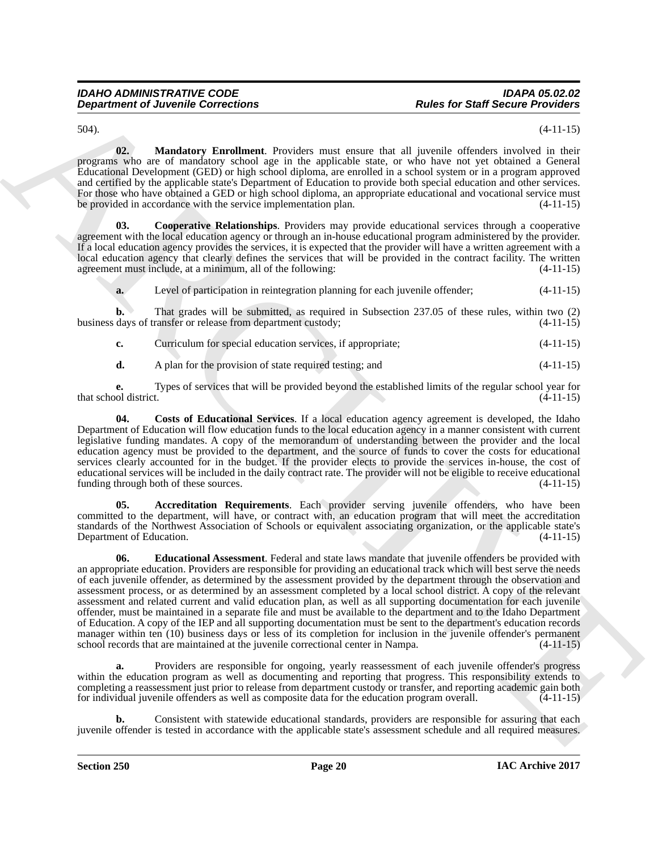<span id="page-19-4"></span>

504). (4-11-15)

**02. Mandatory Enrollment**. Providers must ensure that all juvenile offenders involved in their programs who are of mandatory school age in the applicable state, or who have not yet obtained a General Educational Development (GED) or high school diploma, are enrolled in a school system or in a program approved and certified by the applicable state's Department of Education to provide both special education and other services. For those who have obtained a GED or high school diploma, an appropriate educational and vocational service must be provided in accordance with the service implementation plan. (4-11-15)

<span id="page-19-1"></span>**03. Cooperative Relationships**. Providers may provide educational services through a cooperative agreement with the local education agency or through an in-house educational program administered by the provider. If a local education agency provides the services, it is expected that the provider will have a written agreement with a local education agency that clearly defines the services that will be provided in the contract facility. The written agreement must include, at a minimum, all of the following: (4-11-15)

**a.** Level of participation in reintegration planning for each juvenile offender; (4-11-15)

**b.** That grades will be submitted, as required in Subsection 237.05 of these rules, within two (2) business days of transfer or release from department custody; (4-11-15)

**c.** Curriculum for special education services, if appropriate; (4-11-15)

<span id="page-19-2"></span>**d.** A plan for the provision of state required testing; and (4-11-15)

**e.** Types of services that will be provided beyond the established limits of the regular school year for of district. that school district.

**04. Costs of Educational Services**. If a local education agency agreement is developed, the Idaho Department of Education will flow education funds to the local education agency in a manner consistent with current legislative funding mandates. A copy of the memorandum of understanding between the provider and the local education agency must be provided to the department, and the source of funds to cover the costs for educational services clearly accounted for in the budget. If the provider elects to provide the services in-house, the cost of educational services will be included in the daily contract rate. The provider will not be eligible to receive educational funding through both of these sources. (4-11-15)

<span id="page-19-3"></span><span id="page-19-0"></span>**05. Accreditation Requirements**. Each provider serving juvenile offenders, who have been committed to the department, will have, or contract with, an education program that will meet the accreditation standards of the Northwest Association of Schools or equivalent associating organization, or the applicable state's Department of Education. (4-11-15)

**Department of Juvenile Connections**<br>
Space for Sink for Sink for Sink for Sink for Sink for Sink for Sink for Sink for Sink for Sink for Sink for Sink for Sink for Sink for Sink for Sink for Sink for Sink for Sink for Si **06. Educational Assessment**. Federal and state laws mandate that juvenile offenders be provided with an appropriate education. Providers are responsible for providing an educational track which will best serve the needs of each juvenile offender, as determined by the assessment provided by the department through the observation and assessment process, or as determined by an assessment completed by a local school district. A copy of the relevant assessment and related current and valid education plan, as well as all supporting documentation for each juvenile offender, must be maintained in a separate file and must be available to the department and to the Idaho Department of Education. A copy of the IEP and all supporting documentation must be sent to the department's education records manager within ten (10) business days or less of its completion for inclusion in the juvenile offender's permanent school records that are maintained at the juvenile correctional center in Nampa. (4-11-15)

**a.** Providers are responsible for ongoing, yearly reassessment of each juvenile offender's progress within the education program as well as documenting and reporting that progress. This responsibility extends to completing a reassessment just prior to release from department custody or transfer, and reporting academic gain both for individual juvenile offenders as well as composite data for the education program overall. (4-11-15)

**b.** Consistent with statewide educational standards, providers are responsible for assuring that each juvenile offender is tested in accordance with the applicable state's assessment schedule and all required measures.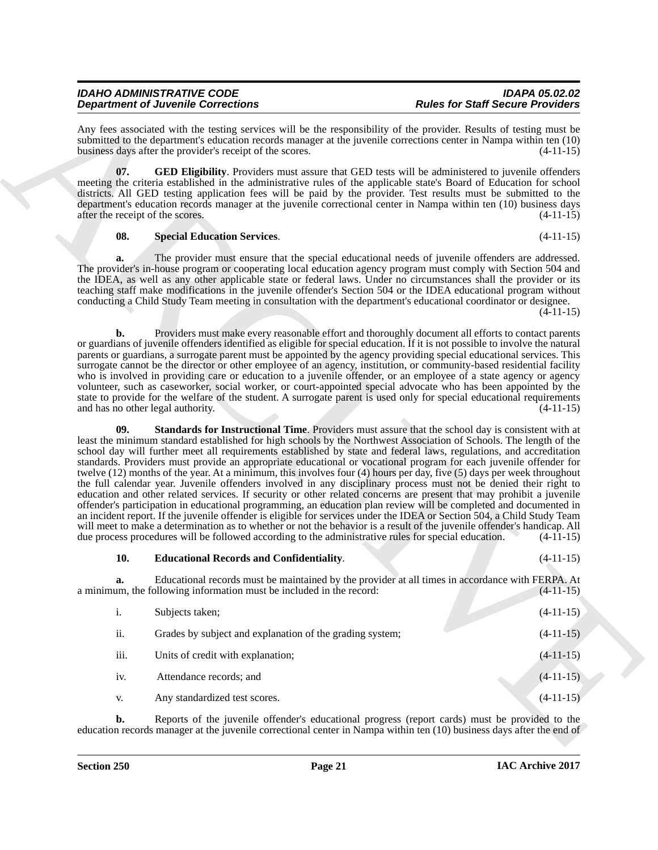Any fees associated with the testing services will be the responsibility of the provider. Results of testing must be submitted to the department's education records manager at the juvenile corrections center in Nampa within ten (10) business days after the provider's receipt of the scores. (4-11-15)

<span id="page-20-1"></span>**07. GED Eligibility**. Providers must assure that GED tests will be administered to juvenile offenders meeting the criteria established in the administrative rules of the applicable state's Board of Education for school districts. All GED testing application fees will be paid by the provider. Test results must be submitted to the department's education records manager at the juvenile correctional center in Nampa within ten (10) business days after the receipt of the scores. (4-11-15)

### <span id="page-20-2"></span>**08. Special Education Services**. (4-11-15)

**a.** The provider must ensure that the special educational needs of juvenile offenders are addressed. The provider's in-house program or cooperating local education agency program must comply with Section 504 and the IDEA, as well as any other applicable state or federal laws. Under no circumstances shall the provider or its teaching staff make modifications in the juvenile offender's Section 504 or the IDEA educational program without conducting a Child Study Team meeting in consultation with the department's educational coordinator or designee. (4-11-15)

<span id="page-20-3"></span>**b.** Providers must make every reasonable effort and thoroughly document all efforts to contact parents or guardians of juvenile offenders identified as eligible for special education. If it is not possible to involve the natural parents or guardians, a surrogate parent must be appointed by the agency providing special educational services. This surrogate cannot be the director or other employee of an agency, institution, or community-based residential facility who is involved in providing care or education to a juvenile offender, or an employee of a state agency or agency volunteer, such as caseworker, social worker, or court-appointed special advocate who has been appointed by the state to provide for the welfare of the student. A surrogate parent is used only for special educational requirements and has no other legal authority. (4-11-15) and has no other legal authority.

**Dependent of Juneal Concernent System Specific American System Section 1998 Concerned Concerne Concerne Concerne Concerne Concerne Concerne Concerne Concerne Concerne Concerne Concerne Concerne Concerne Concerne Concerne 09. Standards for Instructional Time**. Providers must assure that the school day is consistent with at least the minimum standard established for high schools by the Northwest Association of Schools. The length of the school day will further meet all requirements established by state and federal laws, regulations, and accreditation standards. Providers must provide an appropriate educational or vocational program for each juvenile offender for twelve (12) months of the year. At a minimum, this involves four (4) hours per day, five (5) days per week throughout the full calendar year. Juvenile offenders involved in any disciplinary process must not be denied their right to education and other related services. If security or other related concerns are present that may prohibit a juvenile offender's participation in educational programming, an education plan review will be completed and documented in an incident report. If the juvenile offender is eligible for services under the IDEA or Section 504, a Child Study Team will meet to make a determination as to whether or not the behavior is a result of the juvenile offender's handicap. All due process procedures will be followed according to the administrative rules for special education. (4-11-15)

### <span id="page-20-0"></span>**10. Educational Records and Confidentiality**. (4-11-15)

**a.** Educational records must be maintained by the provider at all times in accordance with FERPA. At um, the following information must be included in the record:  $(4-11-15)$ a minimum, the following information must be included in the record:

| $\mathbf{i}$ . | Subjects taken;                                          | $(4-11-15)$ |
|----------------|----------------------------------------------------------|-------------|
| ii.            | Grades by subject and explanation of the grading system; | $(4-11-15)$ |
| iii.           | Units of credit with explanation;                        | $(4-11-15)$ |
| iv.            | Attendance records; and                                  | $(4-11-15)$ |
| V.             | Any standardized test scores.                            | $(4-11-15)$ |

**b.** Reports of the juvenile offender's educational progress (report cards) must be provided to the education records manager at the juvenile correctional center in Nampa within ten (10) business days after the end of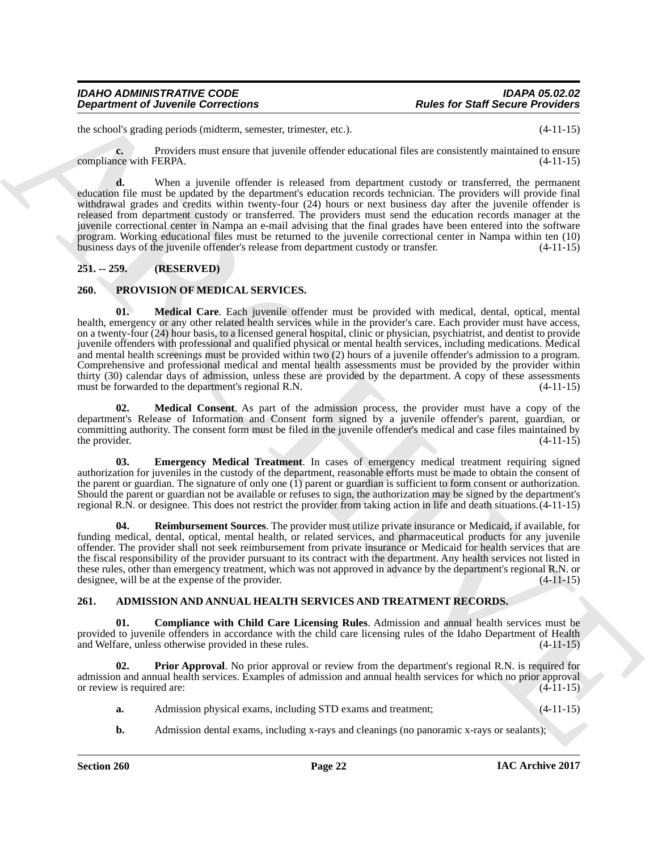the school's grading periods (midterm, semester, trimester, etc.). (4-11-15)

**c.** Providers must ensure that juvenile offender educational files are consistently maintained to ensure compliance with FERPA. (4-11-15)

**d.** When a juvenile offender is released from department custody or transferred, the permanent education file must be updated by the department's education records technician. The providers will provide final withdrawal grades and credits within twenty-four (24) hours or next business day after the juvenile offender is released from department custody or transferred. The providers must send the education records manager at the juvenile correctional center in Nampa an e-mail advising that the final grades have been entered into the software program. Working educational files must be returned to the juvenile correctional center in Nampa within ten (10) business days of the juvenile offender's release from department custody or transfer. (4-11-15) business days of the juvenile offender's release from department custody or transfer.

### <span id="page-21-0"></span>**251. -- 259. (RESERVED)**

### <span id="page-21-7"></span><span id="page-21-5"></span><span id="page-21-1"></span>**260. PROVISION OF MEDICAL SERVICES.**

**Department of Juvenile Connections**<br>
factors **Fact for Start Section** Provide and Research Connections .<br>
In the start of the start of the start of the start of the start of the start of the start of the start of the sta **01. Medical Care**. Each juvenile offender must be provided with medical, dental, optical, mental health, emergency or any other related health services while in the provider's care. Each provider must have access, on a twenty-four (24) hour basis, to a licensed general hospital, clinic or physician, psychiatrist, and dentist to provide juvenile offenders with professional and qualified physical or mental health services, including medications. Medical and mental health screenings must be provided within two (2) hours of a juvenile offender's admission to a program. Comprehensive and professional medical and mental health assessments must be provided by the provider within thirty (30) calendar days of admission, unless these are provided by the department. A copy of these assessments must be forwarded to the department's regional R.N. (4-11-15)

<span id="page-21-8"></span>**02. Medical Consent**. As part of the admission process, the provider must have a copy of the department's Release of Information and Consent form signed by a juvenile offender's parent, guardian, or committing authority. The consent form must be filed in the juvenile offender's medical and case files maintained by the provider. (4-11-15) the provider.  $(4-11-15)$ 

<span id="page-21-6"></span>**03. Emergency Medical Treatment**. In cases of emergency medical treatment requiring signed authorization for juveniles in the custody of the department, reasonable efforts must be made to obtain the consent of the parent or guardian. The signature of only one  $(1)$  parent or guardian is sufficient to form consent or authorization. Should the parent or guardian not be available or refuses to sign, the authorization may be signed by the department's regional R.N. or designee. This does not restrict the provider from taking action in life and death situations.(4-11-15)

<span id="page-21-9"></span>**04. Reimbursement Sources**. The provider must utilize private insurance or Medicaid, if available, for funding medical, dental, optical, mental health, or related services, and pharmaceutical products for any juvenile offender. The provider shall not seek reimbursement from private insurance or Medicaid for health services that are the fiscal responsibility of the provider pursuant to its contract with the department. Any health services not listed in these rules, other than emergency treatment, which was not approved in advance by the department's regional R.N. or designee, will be at the expense of the provider. (4-11-15)

### <span id="page-21-3"></span><span id="page-21-2"></span>**261. ADMISSION AND ANNUAL HEALTH SERVICES AND TREATMENT RECORDS.**

**01. Compliance with Child Care Licensing Rules**. Admission and annual health services must be provided to juvenile offenders in accordance with the child care licensing rules of the Idaho Department of Health and Welfare, unless otherwise provided in these rules. (4-11-15) and Welfare, unless otherwise provided in these rules.

**02. Prior Approval**. No prior approval or review from the department's regional R.N. is required for admission and annual health services. Examples of admission and annual health services for which no prior approval or review is required are: (4-11-15)

- <span id="page-21-4"></span>**a.** Admission physical exams, including STD exams and treatment;  $(4-11-15)$
- **b.** Admission dental exams, including x-rays and cleanings (no panoramic x-rays or sealants);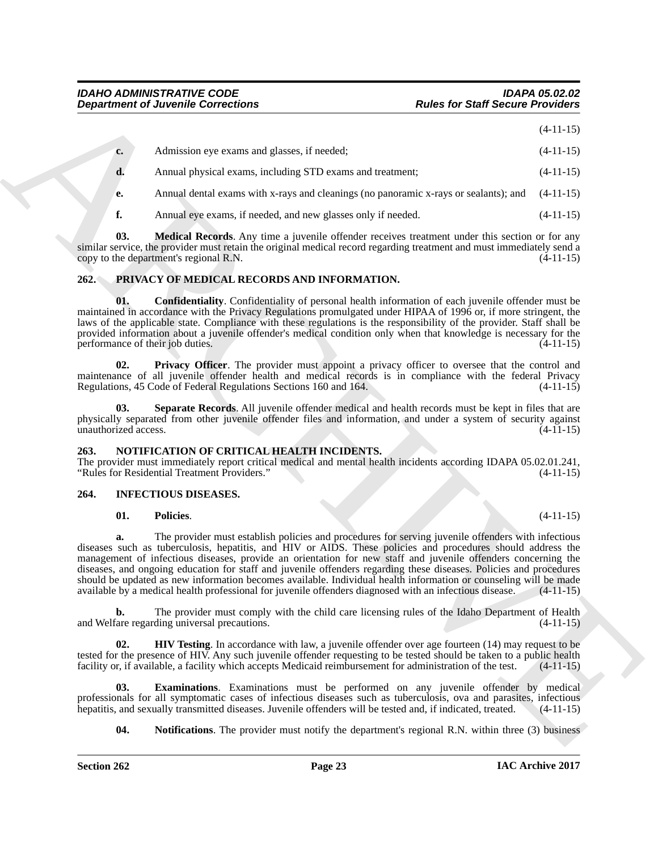| $c_{\cdot}$ | Admission eye exams and glasses, if needed;                                          | $(4-11-15)$ |
|-------------|--------------------------------------------------------------------------------------|-------------|
| d.          | Annual physical exams, including STD exams and treatment;                            | $(4-11-15)$ |
| e.          | Annual dental exams with x-rays and cleanings (no panoramic x-rays or sealants); and | $(4-11-15)$ |

<span id="page-22-3"></span>**f.** Annual eye exams, if needed, and new glasses only if needed.  $(4-11-15)$ 

**03. Medical Records**. Any time a juvenile offender receives treatment under this section or for any similar service, the provider must retain the original medical record regarding treatment and must immediately send a<br>copy to the department's regional R.N. copy to the department's regional  $R.N.$ 

### <span id="page-22-10"></span><span id="page-22-0"></span>**262. PRIVACY OF MEDICAL RECORDS AND INFORMATION.**

<span id="page-22-11"></span>**01. Confidentiality**. Confidentiality of personal health information of each juvenile offender must be maintained in accordance with the Privacy Regulations promulgated under HIPAA of 1996 or, if more stringent, the laws of the applicable state. Compliance with these regulations is the responsibility of the provider. Staff shall be provided information about a juvenile offender's medical condition only when that knowledge is necessary for the performance of their job duties. (4-11-15) performance of their job duties.

<span id="page-22-12"></span>**02. Privacy Officer**. The provider must appoint a privacy officer to oversee that the control and maintenance of all juvenile offender health and medical records is in compliance with the federal Privacy<br>Regulations 45 Code of Federal Regulations Sections 160 and 164. (4-11-15) Regulations, 45 Code of Federal Regulations Sections 160 and 164.

<span id="page-22-13"></span>**03. Separate Records**. All juvenile offender medical and health records must be kept in files that are physically separated from other juvenile offender files and information, and under a system of security against unauthorized access. (4-11-15)

### <span id="page-22-9"></span><span id="page-22-1"></span>**263. NOTIFICATION OF CRITICAL HEALTH INCIDENTS.**

The provider must immediately report critical medical and mental health incidents according IDAPA 05.02.01.241,<br>"Rules for Residential Treatment Providers." (4-11-15) "Rules for Residential Treatment Providers."

### <span id="page-22-2"></span>**264. INFECTIOUS DISEASES.**

### <span id="page-22-8"></span><span id="page-22-4"></span>**01. Policies**. (4-11-15)

**Equivariant of Juvenine Connections**<br> **Equivariant Connections**<br>
(4-11-15)<br>
4. Administration operations theoretical connections<br>
4. Administration of particular intervals and equivariant to parameters:<br>
4. Administratio **a.** The provider must establish policies and procedures for serving juvenile offenders with infectious diseases such as tuberculosis, hepatitis, and HIV or AIDS. These policies and procedures should address the management of infectious diseases, provide an orientation for new staff and juvenile offenders concerning the diseases, and ongoing education for staff and juvenile offenders regarding these diseases. Policies and procedures should be updated as new information becomes available. Individual health information or counseling will be made available by a medical health professional for juvenile offenders diagnosed with an infectious disease. (4-11 available by a medical health professional for juvenile offenders diagnosed with an infectious disease.

**b.** The provider must comply with the child care licensing rules of the Idaho Department of Health Care regarding universal precautions. (4-11-15) and Welfare regarding universal precautions.

<span id="page-22-6"></span>**02. HIV Testing**. In accordance with law, a juvenile offender over age fourteen (14) may request to be tested for the presence of HIV. Any such juvenile offender requesting to be tested should be taken to a public health facility or, if available, a facility which accepts Medicaid reimbursement for administration of the tes facility or, if available, a facility which accepts Medicaid reimbursement for administration of the test.

**03. Examinations**. Examinations must be performed on any juvenile offender by medical professionals for all symptomatic cases of infectious diseases such as tuberculosis, ova and parasites, infectious hepatitis, and sexually transmitted diseases. Juvenile offenders will be tested and, if indicated, treated. hepatitis, and sexually transmitted diseases. Juvenile offenders will be tested and, if indicated, treated.

<span id="page-22-7"></span><span id="page-22-5"></span>**04.** Notifications. The provider must notify the department's regional R.N. within three (3) business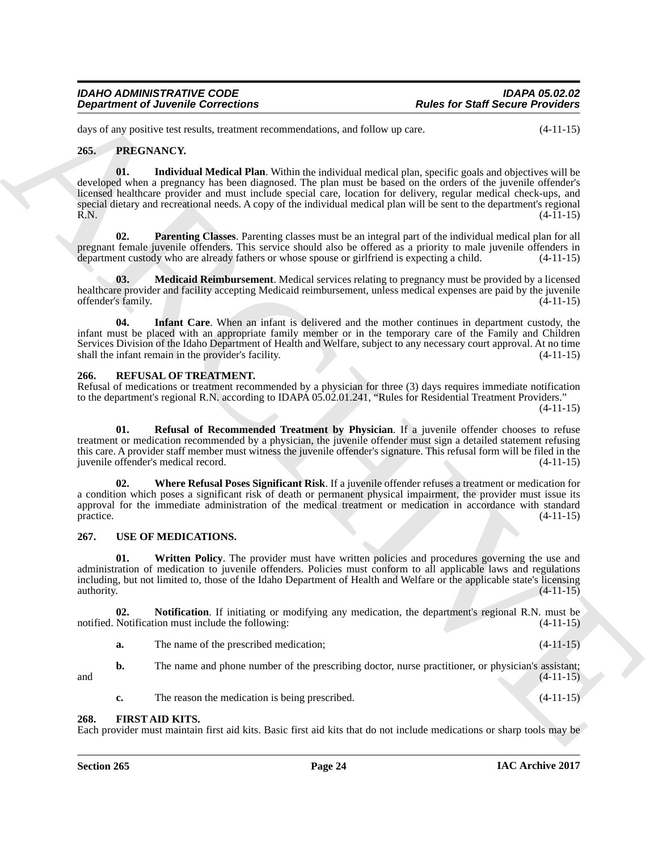days of any positive test results, treatment recommendations, and follow up care. (4-11-15)

### <span id="page-23-6"></span><span id="page-23-5"></span><span id="page-23-0"></span>**265. PREGNANCY.**

**Department of Juvenile Connections**<br>
Joseph Cart Network Research Connections<br>
26. San product Network Research Connections and the specific goal and objectively (411-15)<br>
26. Figure Connection March 2018, a continue to **01. Individual Medical Plan**. Within the individual medical plan, specific goals and objectives will be developed when a pregnancy has been diagnosed. The plan must be based on the orders of the juvenile offender's licensed healthcare provider and must include special care, location for delivery, regular medical check-ups, and special dietary and recreational needs. A copy of the individual medical plan will be sent to the department's regional R.N. (4-11-15) R.N.  $(4-11-15)$ 

<span id="page-23-9"></span>**02. Parenting Classes**. Parenting classes must be an integral part of the individual medical plan for all pregnant female juvenile offenders. This service should also be offered as a priority to male juvenile offenders in department custody who are already fathers or whose spouse or girlfriend is expecting a child. (4-11-15) department custody who are already fathers or whose spouse or girlfriend is expecting a child.

<span id="page-23-8"></span>**03.** Medicaid Reimbursement. Medical services relating to pregnancy must be provided by a licensed healthcare provider and facility accepting Medicaid reimbursement, unless medical expenses are paid by the juvenile<br>offender's family. (4-11-15) offender's family.

<span id="page-23-7"></span>**04. Infant Care**. When an infant is delivered and the mother continues in department custody, the infant must be placed with an appropriate family member or in the temporary care of the Family and Children Services Division of the Idaho Department of Health and Welfare, subject to any necessary court approval. At no time shall the infant remain in the provider's facility. (4-11-15) shall the infant remain in the provider's facility.

### <span id="page-23-10"></span><span id="page-23-1"></span>**266. REFUSAL OF TREATMENT.**

Refusal of medications or treatment recommended by a physician for three (3) days requires immediate notification to the department's regional R.N. according to IDAPA 05.02.01.241, "Rules for Residential Treatment Providers."

 $(4-11-15)$ 

<span id="page-23-11"></span>**01. Refusal of Recommended Treatment by Physician**. If a juvenile offender chooses to refuse treatment or medication recommended by a physician, the juvenile offender must sign a detailed statement refusing this care. A provider staff member must witness the juvenile offender's signature. This refusal form will be filed in the juvenile offender's medical record. (4-11-15)

<span id="page-23-12"></span>**02. Where Refusal Poses Significant Risk**. If a juvenile offender refuses a treatment or medication for a condition which poses a significant risk of death or permanent physical impairment, the provider must issue its approval for the immediate administration of the medical treatment or medication in accordance with standard practice. (4-11-15) practice.  $(4-11-15)$ 

### <span id="page-23-13"></span><span id="page-23-2"></span>**267. USE OF MEDICATIONS.**

<span id="page-23-15"></span>**Written Policy**. The provider must have written policies and procedures governing the use and administration of medication to juvenile offenders. Policies must conform to all applicable laws and regulations including, but not limited to, those of the Idaho Department of Health and Welfare or the applicable state's licensing authority.  $(4-11-15)$ 

**02. Notification**. If initiating or modifying any medication, the department's regional R.N. must be Notification must include the following:  $(4-11-15)$ notified. Notification must include the following:

<span id="page-23-14"></span>**a.** The name of the prescribed medication; (4-11-15)

**b.** The name and phone number of the prescribing doctor, nurse practitioner, or physician's assistant; and  $(4-11-15)$ 

<span id="page-23-4"></span>**c.** The reason the medication is being prescribed.  $(4-11-15)$ 

### <span id="page-23-3"></span>**268. FIRST AID KITS.**

Each provider must maintain first aid kits. Basic first aid kits that do not include medications or sharp tools may be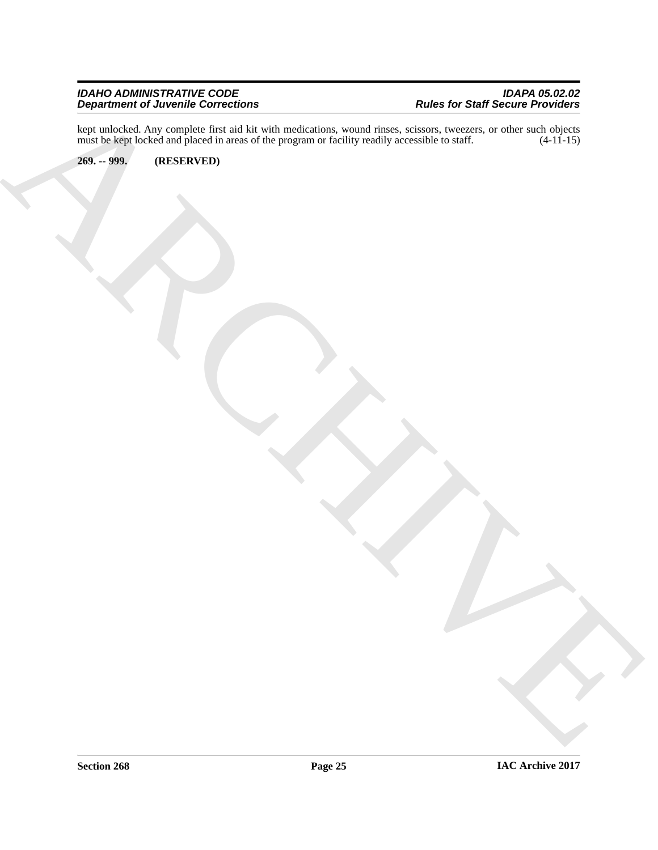### *IDAHO ADMINISTRATIVE CODE IDAPA 05.02.02 Department of Juvenile Corrections Rules for Staff Secure Providers*

ARCHIVE kept unlocked. Any complete first aid kit with medications, wound rinses, scissors, tweezers, or other such objects must be kept locked and placed in areas of the program or facility readily accessible to staff. (4-11-15)

<span id="page-24-0"></span>**269. -- 999. (RESERVED)**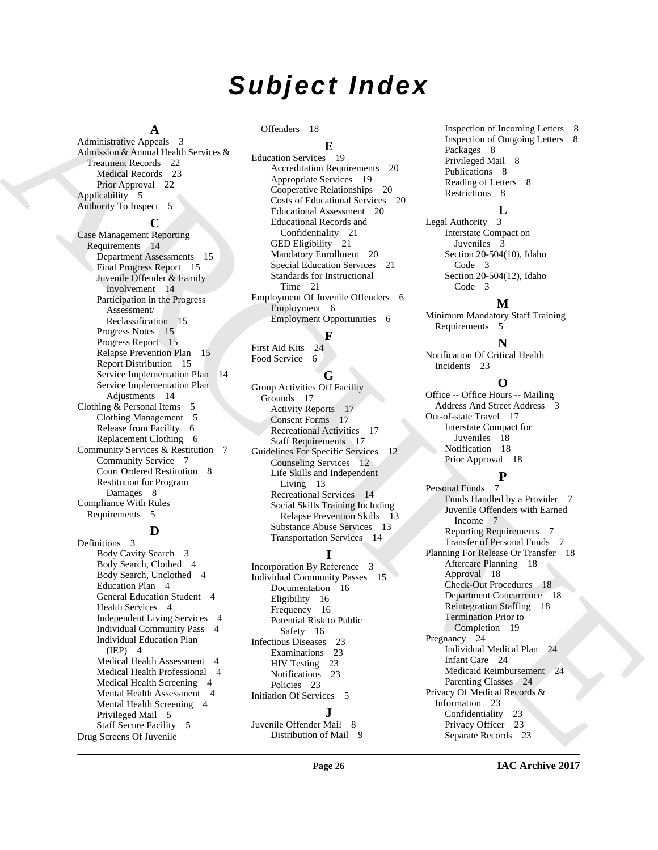# *Subject Index*

### **A**

Administrative Appeals 3 Admission & Annual Health Services & Treatment Records 22 Medical Records 23 Prior Approval 22 Applicability 5 Authority To Inspect 5

### **C**

[A](#page-21-3)ntisotrace Antisotrace and the material of the spectra of the spectra of the spectra of the spectra of the spectra of the spectra of the spectra of the spectra of the spectra of the spectra of the spectra of the spectra Case Management Reporting Requirements 14 Department Assessments 15 Final Progress Report 15 Juvenile Offender & Family Involvement 14 Participation in the Progress Assessment/ Reclassification 15 Progress Notes 15 Progress Report 15 Relapse Prevention Plan 15 Report Distribution 15 Service Implementation Plan 14 Service Implementation Plan Adjustments 14 Clothing & Personal Items 5 Clothing Management 5 Release from Facility 6 Replacement Clothing 6 Community Services & Restitution 7 Community Service 7 Court Ordered Restitution 8 Restitution for Program Damages 8 Compliance With Rules Requirements 5

### **D**

Definitions 3 Body Cavity Search 3 Body Search, Clothed 4 Body Search, Unclothed 4 Education Plan 4 General Education Student 4 Health Services 4 Independent Living Services 4 Individual Community Pass 4 Individual Education Plan (IEP) 4 Medical Health Assessment 4 Medical Health Professional 4 Medical Health Screening 4 Mental Health Assessment 4 Mental Health Screening 4 Privileged Mail 5 Staff Secure Facility 5 Drug Screens Of Juvenile

Offenders 18

### **E**

Education Services 19 Accreditation Requirements 20 Appropriate Services 19 Cooperative Relationships 20 Costs of Educational Services 20 Educational Assessment 20 Educational Records and Confidentiality 21 GED Eligibility 21 Mandatory Enrollment 20 Special Education Services 21 Standards for Instructional Time 21 Employment Of Juvenile Offenders 6 Employment 6 Employment Opportunities 6

**F** First Aid Kits 24 Food Service 6

## **G**

Group Activities Off Facility Grounds 17 Activity Reports 17 Consent Forms 17 Recreational Activities 17 Staff Requirements 17 Guidelines For Specific Services 12 Counseling Services 12 Life Skills and Independent Living 13 Recreational Services 14 Social Skills Training Including Relapse Prevention Skills 13 Substance Abuse Services 13 Transportation Services 14

# **I**

Incorporation By Reference 3 Individual Community Passes 15 Documentation 16 Eligibility 16 Frequency 16 Potential Risk to Public Safety 16 Infectious Diseases 23 Examinations 23 HIV Testing 23 Notifications 23 Policies 23 Initiation Of Services 5 **J**

Juvenile Offender Mail 8 Distribution of Mail 9 Inspection of Incoming Letters 8 Inspection of Outgoing Letters 8 Packages 8 Privileged Mail 8 Publications 8 Reading of Letters 8 Restrictions 8

**L**

Legal Authority 3 Interstate Compact on Juveniles 3 Section 20-504(10), Idaho Code 3 Section 20-504(12), Idaho Code 3

### **M**

Minimum Mandatory Staff Training Requirements 5

### **N**

Notification Of Critical Health Incidents 23

### **O**

Office -- Office Hours -- Mailing Address And Street Address 3 Out-of-state Travel 17 Interstate Compact for Juveniles 18 Notification 18 Prior Approval 18

**P**

Personal Funds 7 Funds Handled by a Provider 7 Juvenile Offenders with Earned Income 7 Reporting Requirements 7 Transfer of Personal Funds 7 Planning For Release Or Transfer 18 Aftercare Planning 18 Approval 18 Check-Out Procedures 18 Department Concurrence 18 Reintegration Staffing 18 Termination Prior to Completion 19 Pregnancy 24 Individual Medical Plan 24 Infant Care 24 Medicaid Reimbursement 24 Parenting Classes 24 Privacy Of Medical Records & Information 23 Confidentiality 23 Privacy Officer 23 Separate Records 23